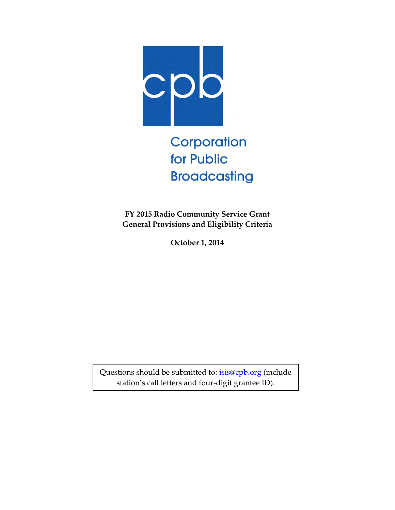

Corporation for Public **Broadcasting** 

**FY 2015 Radio Community Service Grant General Provisions and Eligibility Criteria** 

**October 1, 2014** 

Questions should be submitted to: [isis@cpb.org](mailto:isis@cpb.org) (include station's call letters and four-digit grantee ID).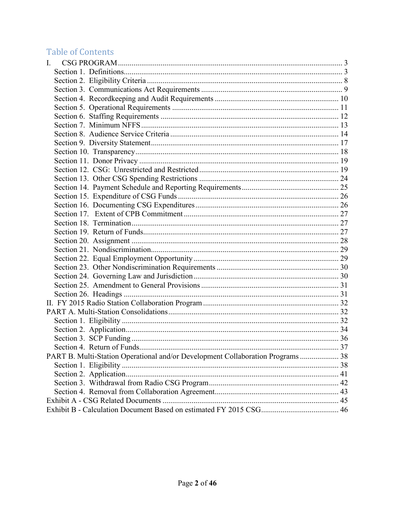# Table of Contents

| I.                                                                              |  |
|---------------------------------------------------------------------------------|--|
|                                                                                 |  |
|                                                                                 |  |
|                                                                                 |  |
|                                                                                 |  |
|                                                                                 |  |
|                                                                                 |  |
|                                                                                 |  |
|                                                                                 |  |
|                                                                                 |  |
|                                                                                 |  |
|                                                                                 |  |
|                                                                                 |  |
|                                                                                 |  |
|                                                                                 |  |
|                                                                                 |  |
|                                                                                 |  |
|                                                                                 |  |
|                                                                                 |  |
|                                                                                 |  |
|                                                                                 |  |
|                                                                                 |  |
|                                                                                 |  |
|                                                                                 |  |
|                                                                                 |  |
|                                                                                 |  |
|                                                                                 |  |
|                                                                                 |  |
|                                                                                 |  |
|                                                                                 |  |
|                                                                                 |  |
|                                                                                 |  |
|                                                                                 |  |
| PART B. Multi-Station Operational and/or Development Collaboration Programs  38 |  |
|                                                                                 |  |
|                                                                                 |  |
|                                                                                 |  |
|                                                                                 |  |
|                                                                                 |  |
|                                                                                 |  |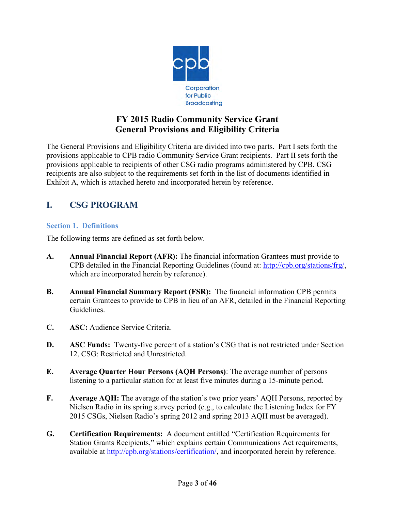

## **FY 2015 Radio Community Service Grant General Provisions and Eligibility Criteria**

The General Provisions and Eligibility Criteria are divided into two parts. Part I sets forth the provisions applicable to CPB radio Community Service Grant recipients. Part II sets forth the provisions applicable to recipients of other CSG radio programs administered by CPB. CSG recipients are also subject to the requirements set forth in the list of documents identified in Exhibit A, which is attached hereto and incorporated herein by reference.

## <span id="page-2-0"></span>**I. CSG PROGRAM**

#### <span id="page-2-1"></span>**Section 1. Definitions**

The following terms are defined as set forth below.

- **A. Annual Financial Report (AFR):** The financial information Grantees must provide to CPB detailed in the Financial Reporting Guidelines (found at: [http://cpb.org/stations/frg/,](http://cpb.org/stations/frg/) which are incorporated herein by reference).
- **B. Annual Financial Summary Report (FSR):** The financial information CPB permits certain Grantees to provide to CPB in lieu of an AFR, detailed in the Financial Reporting Guidelines.
- **C. ASC:** Audience Service Criteria.
- **D. ASC Funds:** Twenty-five percent of a station's CSG that is not restricted under Section 12, CSG: Restricted and Unrestricted.
- **E. Average Quarter Hour Persons (AQH Persons)**: The average number of persons listening to a particular station for at least five minutes during a 15-minute period.
- **F. Average AQH:** The average of the station's two prior years' AQH Persons, reported by Nielsen Radio in its spring survey period (e.g., to calculate the Listening Index for FY 2015 CSGs, Nielsen Radio's spring 2012 and spring 2013 AQH must be averaged).
- **G. Certification Requirements:** A document entitled "Certification Requirements for Station Grants Recipients," which explains certain Communications Act requirements, available at [http://cpb.org/stations/certification/,](http://cpb.org/stations/certification/) and incorporated herein by reference.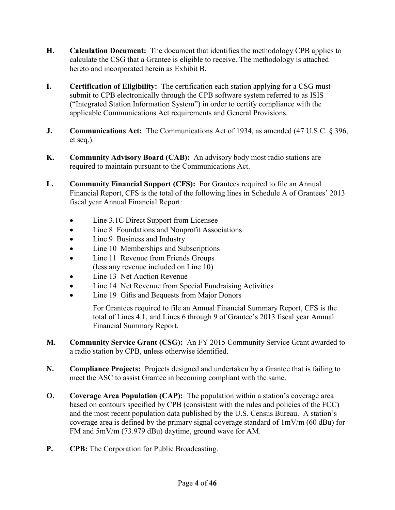- **H. Calculation Document:** The document that identifies the methodology CPB applies to calculate the CSG that a Grantee is eligible to receive. The methodology is attached hereto and incorporated herein as Exhibit B.
- **I. Certification of Eligibility:** The certification each station applying for a CSG must submit to CPB electronically through the CPB software system referred to as ISIS ("Integrated Station Information System") in order to certify compliance with the applicable Communications Act requirements and General Provisions.
- **J. Communications Act:** The Communications Act of 1934, as amended (47 U.S.C. § 396, et seq.).
- **K. Community Advisory Board (CAB):** An advisory body most radio stations are required to maintain pursuant to the Communications Act.
- **L. Community Financial Support (CFS):** For Grantees required to file an Annual Financial Report, CFS is the total of the following lines in Schedule A of Grantees' 2013 fiscal year Annual Financial Report:
	- Line 3.1C Direct Support from Licensee
	- Line 8 Foundations and Nonprofit Associations
	- Line 9 Business and Industry
	- Line 10 Memberships and Subscriptions
	- Line 11 Revenue from Friends Groups (less any revenue included on Line 10)
	- Line 13 Net Auction Revenue
	- Line 14 Net Revenue from Special Fundraising Activities
	- Line 19 Gifts and Bequests from Major Donors

For Grantees required to file an Annual Financial Summary Report, CFS is the total of Lines 4.1, and Lines 6 through 9 of Grantee's 2013 fiscal year Annual Financial Summary Report.

- **M. Community Service Grant (CSG):** An FY 2015 Community Service Grant awarded to a radio station by CPB, unless otherwise identified.
- **N. Compliance Projects:** Projects designed and undertaken by a Grantee that is failing to meet the ASC to assist Grantee in becoming compliant with the same.
- **O. Coverage Area Population (CAP):** The population within a station's coverage area based on contours specified by CPB (consistent with the rules and policies of the FCC) and the most recent population data published by the U.S. Census Bureau. A station's coverage area is defined by the primary signal coverage standard of 1mV/m (60 dBu) for FM and 5mV/m (73.979 dBu) daytime, ground wave for AM.
- **P. CPB:** The Corporation for Public Broadcasting.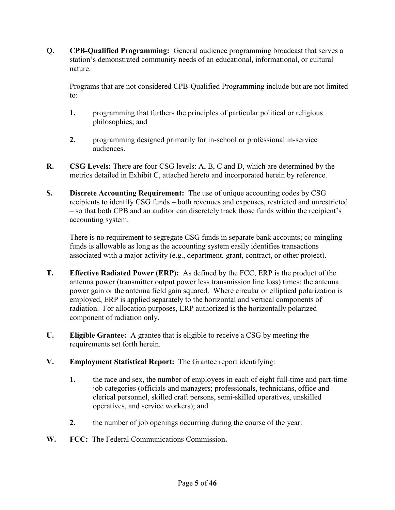**Q. CPB-Qualified Programming:** General audience programming broadcast that serves a station's demonstrated community needs of an educational, informational, or cultural nature.

Programs that are not considered CPB-Qualified Programming include but are not limited to:

- **1.** programming that furthers the principles of particular political or religious philosophies; and
- **2.** programming designed primarily for in-school or professional in-service audiences.
- **R. CSG Levels:** There are four CSG levels: A, B, C and D, which are determined by the metrics detailed in Exhibit C, attached hereto and incorporated herein by reference.
- **S. Discrete Accounting Requirement:** The use of unique accounting codes by CSG recipients to identify CSG funds – both revenues and expenses, restricted and unrestricted – so that both CPB and an auditor can discretely track those funds within the recipient's accounting system.

There is no requirement to segregate CSG funds in separate bank accounts; co-mingling funds is allowable as long as the accounting system easily identifies transactions associated with a major activity (e.g., department, grant, contract, or other project).

- **T. Effective Radiated Power (ERP):** As defined by the FCC, ERP is the product of the antenna power (transmitter output power less transmission line loss) times: the antenna power gain or the antenna field gain squared. Where circular or elliptical polarization is employed, ERP is applied separately to the horizontal and vertical components of radiation. For allocation purposes, ERP authorized is the horizontally polarized component of radiation only.
- **U. Eligible Grantee:** A grantee that is eligible to receive a CSG by meeting the requirements set forth herein.
- **V. Employment Statistical Report:** The Grantee report identifying:
	- **1.** the race and sex, the number of employees in each of eight full-time and part-time job categories (officials and managers; professionals, technicians, office and clerical personnel, skilled craft persons, semi-skilled operatives, unskilled operatives, and service workers); and
	- **2.** the number of job openings occurring during the course of the year.
- **W. FCC:** The Federal Communications Commission**.**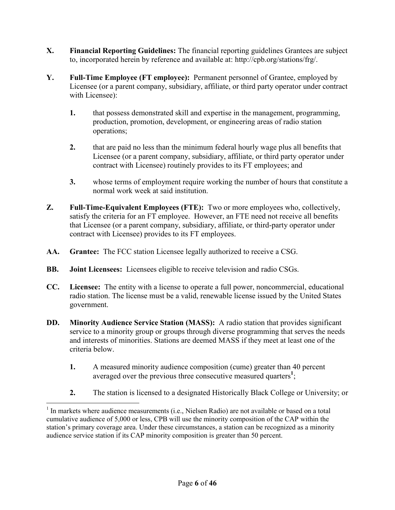- **X. Financial Reporting Guidelines:** The financial reporting guidelines Grantees are subject to, incorporated herein by reference and available at: [http://cpb.org/stations/frg/.](http://cpb.org/stations/frg/)
- **Y. Full-Time Employee (FT employee):** Permanent personnel of Grantee, employed by Licensee (or a parent company, subsidiary, affiliate, or third party operator under contract with Licensee):
	- **1.** that possess demonstrated skill and expertise in the management, programming, production, promotion, development, or engineering areas of radio station operations;
	- **2.** that are paid no less than the minimum federal hourly wage plus all benefits that Licensee (or a parent company, subsidiary, affiliate, or third party operator under contract with Licensee) routinely provides to its FT employees; and
	- **3.** whose terms of employment require working the number of hours that constitute a normal work week at said institution.
- **Z. Full-Time-Equivalent Employees (FTE):** Two or more employees who, collectively, satisfy the criteria for an FT employee. However, an FTE need not receive all benefits that Licensee (or a parent company, subsidiary, affiliate, or third-party operator under contract with Licensee) provides to its FT employees.
- **AA. Grantee:** The FCC station Licensee legally authorized to receive a CSG.
- **BB. Joint Licensees:** Licensees eligible to receive television and radio CSGs.
- **CC. Licensee:** The entity with a license to operate a full power, noncommercial, educational radio station. The license must be a valid, renewable license issued by the United States government.
- **DD. Minority Audience Service Station (MASS):** A radio station that provides significant service to a minority group or groups through diverse programming that serves the needs and interests of minorities. Stations are deemed MASS if they meet at least one of the criteria below.
	- **1.** A measured minority audience composition (cume) greater than 40 percent averaged over the previous three consecutive measured quarters**<sup>1</sup>** ;
	- **2.** The station is licensed to a designated Historically Black College or University; or

 $\overline{a}$ 

<sup>&</sup>lt;sup>1</sup> In markets where audience measurements (i.e., Nielsen Radio) are not available or based on a total cumulative audience of 5,000 or less, CPB will use the minority composition of the CAP within the station's primary coverage area. Under these circumstances, a station can be recognized as a minority audience service station if its CAP minority composition is greater than 50 percent.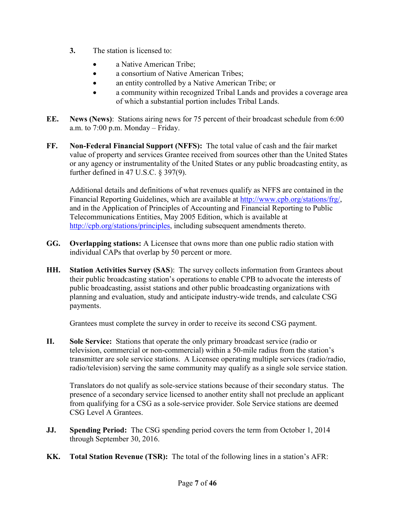- **3.** The station is licensed to:
	- a Native American Tribe;
	- a consortium of Native American Tribes;
	- an entity controlled by a Native American Tribe; or
	- a community within recognized Tribal Lands and provides a coverage area of which a substantial portion includes Tribal Lands.
- **EE. News (News)**: Stations airing news for 75 percent of their broadcast schedule from 6:00 a.m. to 7:00 p.m. Monday – Friday.
- **FF. Non-Federal Financial Support (NFFS):** The total value of cash and the fair market value of property and services Grantee received from sources other than the United States or any agency or instrumentality of the United States or any public broadcasting entity, as further defined in 47 U.S.C. § 397(9).

Additional details and definitions of what revenues qualify as NFFS are contained in the Financial Reporting Guidelines, which are available at [http://www.cpb.org/stations/frg/,](http://www.cpb.org/stations/frg/) and in the Application of Principles of Accounting and Financial Reporting to Public Telecommunications Entities, May 2005 Edition, which is available at [http://cpb.org/stations/principles,](http://cpb.org/stations/principles) including subsequent amendments thereto.

- **GG. Overlapping stations:** A Licensee that owns more than one public radio station with individual CAPs that overlap by 50 percent or more.
- **HH. Station Activities Survey (SAS**): The survey collects information from Grantees about their public broadcasting station's operations to enable CPB to advocate the interests of public broadcasting, assist stations and other public broadcasting organizations with planning and evaluation, study and anticipate industry-wide trends, and calculate CSG payments.

Grantees must complete the survey in order to receive its second CSG payment.

**II. Sole Service:** Stations that operate the only primary broadcast service (radio or television, commercial or non-commercial) within a 50-mile radius from the station's transmitter are sole service stations. A Licensee operating multiple services (radio/radio, radio/television) serving the same community may qualify as a single sole service station.

Translators do not qualify as sole-service stations because of their secondary status. The presence of a secondary service licensed to another entity shall not preclude an applicant from qualifying for a CSG as a sole-service provider. Sole Service stations are deemed CSG Level A Grantees.

- **JJ. Spending Period:** The CSG spending period covers the term from October 1, 2014 through September 30, 2016.
- **KK. Total Station Revenue (TSR):** The total of the following lines in a station's AFR: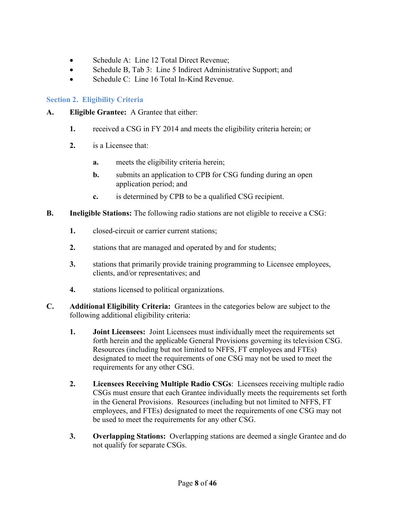- Schedule A: Line 12 Total Direct Revenue;
- Schedule B, Tab 3: Line 5 Indirect Administrative Support; and
- $\bullet$  Schedule C: Line 16 Total In-Kind Revenue.

## <span id="page-7-0"></span>**Section 2. Eligibility Criteria**

- **A. Eligible Grantee:** A Grantee that either:
	- **1.** received a CSG in FY 2014 and meets the eligibility criteria herein; or
	- **2.** is a Licensee that:
		- **a.** meets the eligibility criteria herein;
		- **b.** submits an application to CPB for CSG funding during an open application period; and
		- **c.** is determined by CPB to be a qualified CSG recipient.
- **B. Ineligible Stations:** The following radio stations are not eligible to receive a CSG:
	- **1.** closed-circuit or carrier current stations;
	- **2.** stations that are managed and operated by and for students;
	- **3.** stations that primarily provide training programming to Licensee employees, clients, and/or representatives; and
	- **4.** stations licensed to political organizations.
- **C. Additional Eligibility Criteria:** Grantees in the categories below are subject to the following additional eligibility criteria:
	- **1. Joint Licensees:** Joint Licensees must individually meet the requirements set forth herein and the applicable General Provisions governing its television CSG. Resources (including but not limited to NFFS, FT employees and FTEs) designated to meet the requirements of one CSG may not be used to meet the requirements for any other CSG.
	- **2. Licensees Receiving Multiple Radio CSGs**: Licensees receiving multiple radio CSGs must ensure that each Grantee individually meets the requirements set forth in the General Provisions. Resources (including but not limited to NFFS, FT employees, and FTEs) designated to meet the requirements of one CSG may not be used to meet the requirements for any other CSG.
	- **3. Overlapping Stations:** Overlapping stations are deemed a single Grantee and do not qualify for separate CSGs.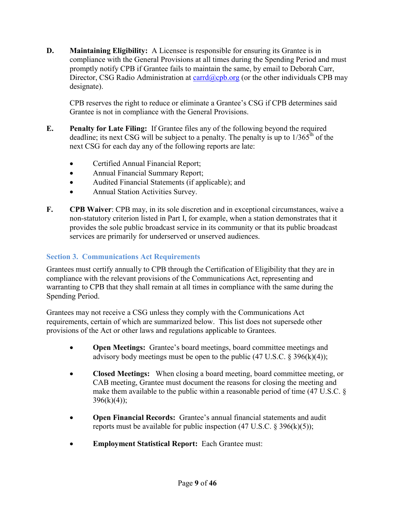**D. Maintaining Eligibility:** A Licensee is responsible for ensuring its Grantee is in compliance with the General Provisions at all times during the Spending Period and must promptly notify CPB if Grantee fails to maintain the same, by email to Deborah Carr, Director, CSG Radio Administration at [carrd@cpb.org](mailto:carrd@cpb.org) (or the other individuals CPB may designate).

CPB reserves the right to reduce or eliminate a Grantee's CSG if CPB determines said Grantee is not in compliance with the General Provisions.

- **E. Penalty for Late Filing:** If Grantee files any of the following beyond the required deadline; its next CSG will be subject to a penalty. The penalty is up to  $1/365<sup>th</sup>$  of the next CSG for each day any of the following reports are late:
	- Certified Annual Financial Report;
	- Annual Financial Summary Report;
	- Audited Financial Statements (if applicable); and
	- Annual Station Activities Survey.
- **F. CPB Waiver**: CPB may, in its sole discretion and in exceptional circumstances, waive a non-statutory criterion listed in Part I, for example, when a station demonstrates that it provides the sole public broadcast service in its community or that its public broadcast services are primarily for underserved or unserved audiences.

#### <span id="page-8-0"></span>**Section 3. Communications Act Requirements**

Grantees must certify annually to CPB through the Certification of Eligibility that they are in compliance with the relevant provisions of the Communications Act, representing and warranting to CPB that they shall remain at all times in compliance with the same during the Spending Period.

Grantees may not receive a CSG unless they comply with the Communications Act requirements, certain of which are summarized below. This list does not supersede other provisions of the Act or other laws and regulations applicable to Grantees.

- **Open Meetings:** Grantee's board meetings, board committee meetings and advisory body meetings must be open to the public  $(47 \text{ U.S.C. } 8 \text{ 396(k)}(4))$ ;
- **Closed Meetings:** When closing a board meeting, board committee meeting, or CAB meeting, Grantee must document the reasons for closing the meeting and make them available to the public within a reasonable period of time (47 U.S.C. §  $396(k)(4)$ ;
- **Open Financial Records:** Grantee's annual financial statements and audit reports must be available for public inspection  $(47 \text{ U.S.C.} \& 396 \text{(k)}(5))$ ;
- **Employment Statistical Report:** Each Grantee must: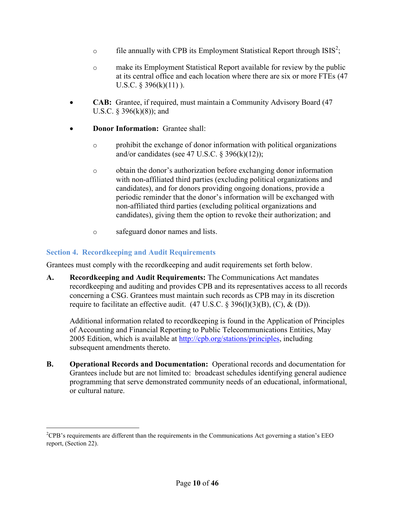- $\circ$  file annually with CPB its Employment Statistical Report through ISIS<sup>2</sup>;
- o make its Employment Statistical Report available for review by the public at its central office and each location where there are six or more FTEs (47 U.S.C.  $\S$  396(k)(11)).
- **CAB:** Grantee, if required, must maintain a Community Advisory Board (47) U.S.C.  $\S$  396(k)(8)); and
- **Donor Information:** Grantee shall:
	- o prohibit the exchange of donor information with political organizations and/or candidates (see 47 U.S.C.  $\S$  396(k)(12));
	- o obtain the donor's authorization before exchanging donor information with non-affiliated third parties (excluding political organizations and candidates), and for donors providing ongoing donations, provide a periodic reminder that the donor's information will be exchanged with non-affiliated third parties (excluding political organizations and candidates), giving them the option to revoke their authorization; and
	- o safeguard donor names and lists.

## <span id="page-9-0"></span>**Section 4. Recordkeeping and Audit Requirements**

 $\overline{a}$ 

Grantees must comply with the recordkeeping and audit requirements set forth below.

**A. Recordkeeping and Audit Requirements:** The Communications Act mandates recordkeeping and auditing and provides CPB and its representatives access to all records concerning a CSG. Grantees must maintain such records as CPB may in its discretion require to facilitate an effective audit.  $(47 \text{ U.S.C.} \S 396(l)(3)(B), (C), \& (D)).$ 

Additional information related to recordkeeping is found in the Application of Principles of Accounting and Financial Reporting to Public Telecommunications Entities, May 2005 Edition, which is available at [http://cpb.org/stations/principles,](http://cpb.org/stations/principles) including subsequent amendments thereto.

**B. Operational Records and Documentation:** Operational records and documentation for Grantees include but are not limited to: broadcast schedules identifying general audience programming that serve demonstrated community needs of an educational, informational, or cultural nature.

 ${}^{2}$ CPB's requirements are different than the requirements in the Communications Act governing a station's EEO report, (Section 22).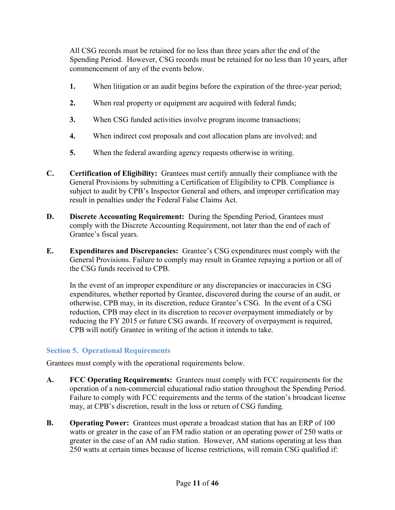All CSG records must be retained for no less than three years after the end of the Spending Period. However, CSG records must be retained for no less than 10 years, after commencement of any of the events below.

- **1.** When litigation or an audit begins before the expiration of the three-year period;
- **2.** When real property or equipment are acquired with federal funds;
- **3.** When CSG funded activities involve program income transactions;
- **4.** When indirect cost proposals and cost allocation plans are involved; and
- **5.** When the federal awarding agency requests otherwise in writing.
- **C. Certification of Eligibility:** Grantees must certify annually their compliance with the General Provisions by submitting a Certification of Eligibility to CPB. Compliance is subject to audit by CPB's Inspector General and others, and improper certification may result in penalties under the Federal False Claims Act.
- **D. Discrete Accounting Requirement:** During the Spending Period, Grantees must comply with the Discrete Accounting Requirement, not later than the end of each of Grantee's fiscal years.
- **E. Expenditures and Discrepancies:** Grantee's CSG expenditures must comply with the General Provisions. Failure to comply may result in Grantee repaying a portion or all of the CSG funds received to CPB.

In the event of an improper expenditure or any discrepancies or inaccuracies in CSG expenditures, whether reported by Grantee, discovered during the course of an audit, or otherwise, CPB may, in its discretion, reduce Grantee's CSG. In the event of a CSG reduction, CPB may elect in its discretion to recover overpayment immediately or by reducing the FY 2015 or future CSG awards. If recovery of overpayment is required, CPB will notify Grantee in writing of the action it intends to take.

## <span id="page-10-0"></span>**Section 5. Operational Requirements**

Grantees must comply with the operational requirements below.

- **A. FCC Operating Requirements:** Grantees must comply with FCC requirements for the operation of a non-commercial educational radio station throughout the Spending Period. Failure to comply with FCC requirements and the terms of the station's broadcast license may, at CPB's discretion, result in the loss or return of CSG funding.
- **B. Operating Power:** Grantees must operate a broadcast station that has an ERP of 100 watts or greater in the case of an FM radio station or an operating power of 250 watts or greater in the case of an AM radio station. However, AM stations operating at less than 250 watts at certain times because of license restrictions, will remain CSG qualified if: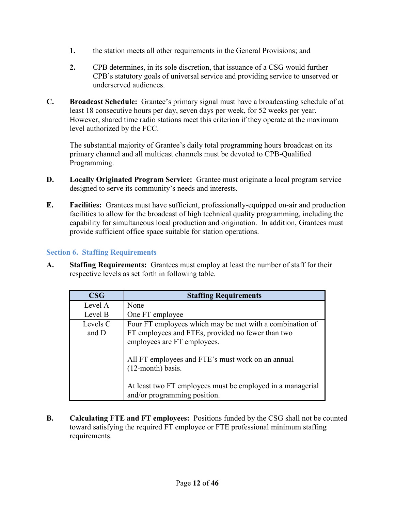- **1.** the station meets all other requirements in the General Provisions; and
- **2.** CPB determines, in its sole discretion, that issuance of a CSG would further CPB's statutory goals of universal service and providing service to unserved or underserved audiences.
- **C. Broadcast Schedule:** Grantee's primary signal must have a broadcasting schedule of at least 18 consecutive hours per day, seven days per week, for 52 weeks per year. However, shared time radio stations meet this criterion if they operate at the maximum level authorized by the FCC.

The substantial majority of Grantee's daily total programming hours broadcast on its primary channel and all multicast channels must be devoted to CPB-Qualified Programming.

- **D. Locally Originated Program Service:** Grantee must originate a local program service designed to serve its community's needs and interests.
- **E. Facilities:** Grantees must have sufficient, professionally-equipped on-air and production facilities to allow for the broadcast of high technical quality programming, including the capability for simultaneous local production and origination. In addition, Grantees must provide sufficient office space suitable for station operations.

## <span id="page-11-0"></span>**Section 6. Staffing Requirements**

**A. Staffing Requirements:** Grantees must employ at least the number of staff for their respective levels as set forth in following table.

| $\bf{CSG}$        | <b>Staffing Requirements</b>                                                                                                                 |
|-------------------|----------------------------------------------------------------------------------------------------------------------------------------------|
| Level A           | None                                                                                                                                         |
| Level B           | One FT employee                                                                                                                              |
| Levels C<br>and D | Four FT employees which may be met with a combination of<br>FT employees and FTEs, provided no fewer than two<br>employees are FT employees. |
|                   | All FT employees and FTE's must work on an annual<br>(12-month) basis.                                                                       |
|                   | At least two FT employees must be employed in a managerial<br>and/or programming position.                                                   |

**B. Calculating FTE and FT employees:** Positions funded by the CSG shall not be counted toward satisfying the required FT employee or FTE professional minimum staffing requirements.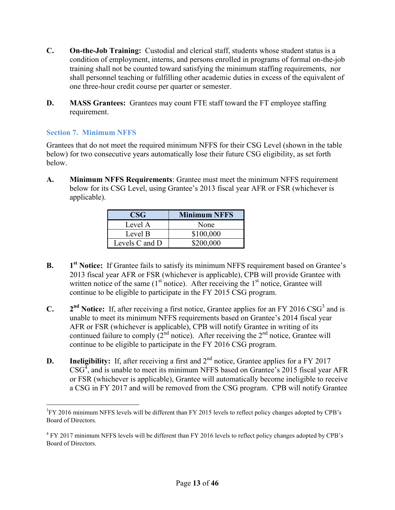- **C. On-the-Job Training:** Custodial and clerical staff, students whose student status is a condition of employment, interns, and persons enrolled in programs of formal on-the-job training shall not be counted toward satisfying the minimum staffing requirements, nor shall personnel teaching or fulfilling other academic duties in excess of the equivalent of one three-hour credit course per quarter or semester.
- **D. MASS Grantees:** Grantees may count FTE staff toward the FT employee staffing requirement.

### <span id="page-12-0"></span>**Section 7. Minimum NFFS**

 $\overline{a}$ 

Grantees that do not meet the required minimum NFFS for their CSG Level (shown in the table below) for two consecutive years automatically lose their future CSG eligibility, as set forth below.

**A. Minimum NFFS Requirements**: Grantee must meet the minimum NFFS requirement below for its CSG Level, using Grantee's 2013 fiscal year AFR or FSR (whichever is applicable).

| <b>CSG</b>     | <b>Minimum NFFS</b> |
|----------------|---------------------|
| Level A        | None                |
| Level B        | \$100,000           |
| Levels C and D | \$200,000           |

- **B. 1** 1<sup>st</sup> Notice: If Grantee fails to satisfy its minimum NFFS requirement based on Grantee's 2013 fiscal year AFR or FSR (whichever is applicable), CPB will provide Grantee with written notice of the same  $(1<sup>st</sup>$  notice). After receiving the  $1<sup>st</sup>$  notice, Grantee will continue to be eligible to participate in the FY 2015 CSG program.
- **C. 2** <sup>nd</sup> Notice: If, after receiving a first notice, Grantee applies for an FY 2016 CSG<sup>3</sup> and is unable to meet its minimum NFFS requirements based on Grantee's 2014 fiscal year AFR or FSR (whichever is applicable), CPB will notify Grantee in writing of its continued failure to comply  $(2<sup>nd</sup> notice)$ . After receiving the  $2<sup>nd</sup>$  notice, Grantee will continue to be eligible to participate in the FY 2016 CSG program.
- **D.** Ineligibility: If, after receiving a first and  $2<sup>nd</sup>$  notice, Grantee applies for a FY 2017  $\text{CSG}^4$ , and is unable to meet its minimum NFFS based on Grantee's 2015 fiscal year AFR or FSR (whichever is applicable), Grantee will automatically become ineligible to receive a CSG in FY 2017 and will be removed from the CSG program. CPB will notify Grantee

 $3$ FY 2016 minimum NFFS levels will be different than FY 2015 levels to reflect policy changes adopted by CPB's Board of Directors.

<sup>&</sup>lt;sup>4</sup> FY 2017 minimum NFFS levels will be different than FY 2016 levels to reflect policy changes adopted by CPB's Board of Directors.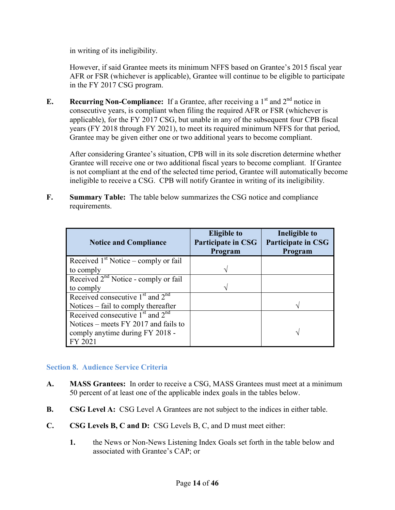in writing of its ineligibility.

However, if said Grantee meets its minimum NFFS based on Grantee's 2015 fiscal year AFR or FSR (whichever is applicable), Grantee will continue to be eligible to participate in the FY 2017 CSG program.

**E. Recurring Non-Compliance:** If a Grantee, after receiving a  $1<sup>st</sup>$  and  $2<sup>nd</sup>$  notice in consecutive years, is compliant when filing the required AFR or FSR (whichever is applicable), for the FY 2017 CSG, but unable in any of the subsequent four CPB fiscal years (FY 2018 through FY 2021), to meet its required minimum NFFS for that period, Grantee may be given either one or two additional years to become compliant.

After considering Grantee's situation, CPB will in its sole discretion determine whether Grantee will receive one or two additional fiscal years to become compliant. If Grantee is not compliant at the end of the selected time period, Grantee will automatically become ineligible to receive a CSG. CPB will notify Grantee in writing of its ineligibility.

**F. Summary Table:** The table below summarizes the CSG notice and compliance requirements.

| <b>Notice and Compliance</b>           | <b>Eligible to</b><br>Participate in CSG<br>Program | Ineligible to<br><b>Participate in CSG</b><br>Program |
|----------------------------------------|-----------------------------------------------------|-------------------------------------------------------|
| Received $1st$ Notice – comply or fail |                                                     |                                                       |
| to comply                              | ٦                                                   |                                                       |
| Received $2nd$ Notice - comply or fail |                                                     |                                                       |
| to comply                              |                                                     |                                                       |
| Received consecutive $1st$ and $2nd$   |                                                     |                                                       |
| Notices – fail to comply thereafter    |                                                     |                                                       |
| Received consecutive $1st$ and $2nd$   |                                                     |                                                       |
| Notices – meets $FY$ 2017 and fails to |                                                     |                                                       |
| comply anytime during FY 2018 -        |                                                     |                                                       |
| FY 2021                                |                                                     |                                                       |

#### <span id="page-13-0"></span>**Section 8. Audience Service Criteria**

- **A. MASS Grantees:** In order to receive a CSG, MASS Grantees must meet at a minimum 50 percent of at least one of the applicable index goals in the tables below.
- **B. CSG Level A:** CSG Level A Grantees are not subject to the indices in either table.
- **C. CSG Levels B, C and D:** CSG Levels B, C, and D must meet either:
	- **1.** the News or Non-News Listening Index Goals set forth in the table below and associated with Grantee's CAP; or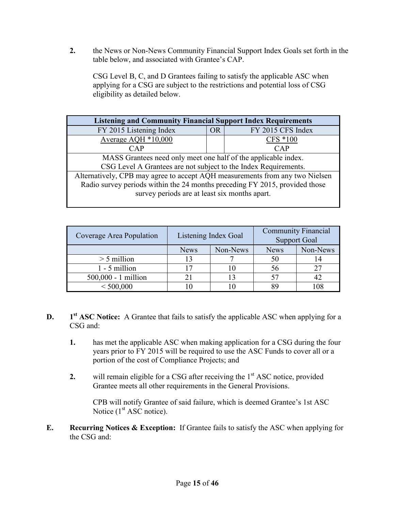**2.** the News or Non-News Community Financial Support Index Goals set forth in the table below, and associated with Grantee's CAP.

CSG Level B, C, and D Grantees failing to satisfy the applicable ASC when applying for a CSG are subject to the restrictions and potential loss of CSG eligibility as detailed below.

| <b>Listening and Community Financial Support Index Requirements</b>          |           |                   |  |  |  |  |
|------------------------------------------------------------------------------|-----------|-------------------|--|--|--|--|
| FY 2015 Listening Index                                                      | <b>OR</b> | FY 2015 CFS Index |  |  |  |  |
| Average AQH *10,000                                                          |           | CFS *100          |  |  |  |  |
| CAP                                                                          |           | <b>CAP</b>        |  |  |  |  |
| MASS Grantees need only meet one half of the applicable index.               |           |                   |  |  |  |  |
| CSG Level A Grantees are not subject to the Index Requirements.              |           |                   |  |  |  |  |
| Alternatively, CPB may agree to accept AQH measurements from any two Nielsen |           |                   |  |  |  |  |
| Radio survey periods within the 24 months preceding FY 2015, provided those  |           |                   |  |  |  |  |
| survey periods are at least six months apart.                                |           |                   |  |  |  |  |
|                                                                              |           |                   |  |  |  |  |

| Coverage Area Population |                         | <b>Community Financial</b><br>Listening Index Goal<br><b>Support Goal</b> |             |          |
|--------------------------|-------------------------|---------------------------------------------------------------------------|-------------|----------|
|                          | Non-News<br><b>News</b> |                                                                           | <b>News</b> | Non-News |
| $>$ 5 million            |                         |                                                                           |             |          |
| $1 - 5$ million          |                         |                                                                           |             |          |
| 500,000 - 1 million      |                         |                                                                           |             |          |
| < 500,000                |                         |                                                                           |             |          |

- **D. 1** 1<sup>st</sup> ASC Notice: A Grantee that fails to satisfy the applicable ASC when applying for a CSG and:
	- **1.** has met the applicable ASC when making application for a CSG during the four years prior to FY 2015 will be required to use the ASC Funds to cover all or a portion of the cost of Compliance Projects; and
	- **2.** will remain eligible for a CSG after receiving the  $1<sup>st</sup>$  ASC notice, provided Grantee meets all other requirements in the General Provisions.

CPB will notify Grantee of said failure, which is deemed Grantee's 1st ASC Notice  $(1<sup>st</sup> ASC notice)$ .

**E. Recurring Notices & Exception:** If Grantee fails to satisfy the ASC when applying for the CSG and: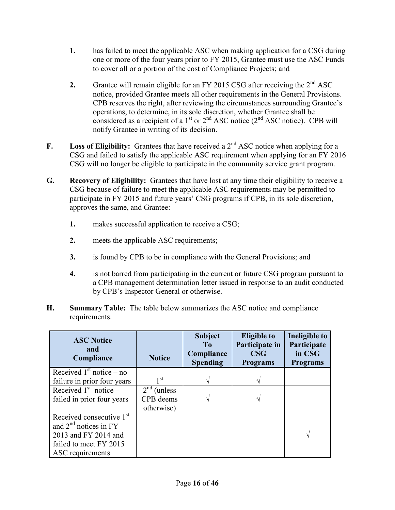- **1.** has failed to meet the applicable ASC when making application for a CSG during one or more of the four years prior to FY 2015, Grantee must use the ASC Funds to cover all or a portion of the cost of Compliance Projects; and
- **2.** Grantee will remain eligible for an FY 2015 CSG after receiving the  $2<sup>nd</sup>$  ASC notice, provided Grantee meets all other requirements in the General Provisions. CPB reserves the right, after reviewing the circumstances surrounding Grantee's operations, to determine, in its sole discretion, whether Grantee shall be considered as a recipient of a  $1<sup>st</sup>$  or  $2<sup>nd</sup>$  ASC notice ( $2<sup>nd</sup>$  ASC notice). CPB will notify Grantee in writing of its decision.
- **F. Loss of Eligibility:** Grantees that have received a  $2^{nd}$  ASC notice when applying for a CSG and failed to satisfy the applicable ASC requirement when applying for an FY 2016 CSG will no longer be eligible to participate in the community service grant program.
- **G. Recovery of Eligibility:** Grantees that have lost at any time their eligibility to receive a CSG because of failure to meet the applicable ASC requirements may be permitted to participate in FY 2015 and future years' CSG programs if CPB, in its sole discretion, approves the same, and Grantee:
	- **1.** makes successful application to receive a CSG;
	- **2.** meets the applicable ASC requirements;
	- **3.** is found by CPB to be in compliance with the General Provisions; and
	- **4.** is not barred from participating in the current or future CSG program pursuant to a CPB management determination letter issued in response to an audit conducted by CPB's Inspector General or otherwise.
- **H. Summary Table:** The table below summarizes the ASC notice and compliance requirements.

| <b>ASC Notice</b><br>and<br>Compliance | <b>Notice</b>   | <b>Subject</b><br>T <sub>0</sub><br>Compliance<br><b>Spending</b> | <b>Eligible to</b><br>Participate in<br>$\bf{CSG}$<br><b>Programs</b> | Ineligible to<br>Participate<br>in CSG<br><b>Programs</b> |
|----------------------------------------|-----------------|-------------------------------------------------------------------|-----------------------------------------------------------------------|-----------------------------------------------------------|
| Received $1st$ notice – no             |                 |                                                                   |                                                                       |                                                           |
| failure in prior four years            | 1 <sup>st</sup> |                                                                   |                                                                       |                                                           |
| Received $1st$ notice –                | $2nd$ (unless   |                                                                   |                                                                       |                                                           |
| failed in prior four years             | CPB deems       |                                                                   |                                                                       |                                                           |
|                                        | otherwise)      |                                                                   |                                                                       |                                                           |
| Received consecutive 1 <sup>st</sup>   |                 |                                                                   |                                                                       |                                                           |
| and $2^{nd}$ notices in FY             |                 |                                                                   |                                                                       |                                                           |
| 2013 and FY 2014 and                   |                 |                                                                   |                                                                       | V                                                         |
| failed to meet FY 2015                 |                 |                                                                   |                                                                       |                                                           |
| ASC requirements                       |                 |                                                                   |                                                                       |                                                           |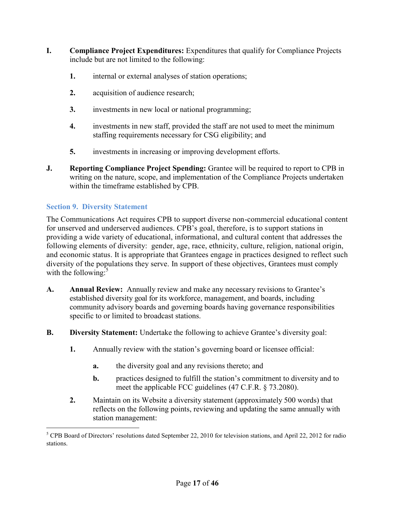- **I. Compliance Project Expenditures:** Expenditures that qualify for Compliance Projects include but are not limited to the following:
	- **1.** internal or external analyses of station operations;
	- **2.** acquisition of audience research;
	- **3.** investments in new local or national programming;
	- **4.** investments in new staff, provided the staff are not used to meet the minimum staffing requirements necessary for CSG eligibility; and
	- **5.** investments in increasing or improving development efforts.
- **J. Reporting Compliance Project Spending:** Grantee will be required to report to CPB in writing on the nature, scope, and implementation of the Compliance Projects undertaken within the timeframe established by CPB.

#### <span id="page-16-0"></span>**Section 9. Diversity Statement**

 $\overline{a}$ 

The Communications Act requires CPB to support diverse non-commercial educational content for unserved and underserved audiences. CPB's goal, therefore, is to support stations in providing a wide variety of educational, informational, and cultural content that addresses the following elements of diversity: gender, age, race, ethnicity, culture, religion, national origin, and economic status. It is appropriate that Grantees engage in practices designed to reflect such diversity of the populations they serve. In support of these objectives, Grantees must comply with the following: $5$ 

- **A. Annual Review:** Annually review and make any necessary revisions to Grantee's established diversity goal for its workforce, management, and boards, including community advisory boards and governing boards having governance responsibilities specific to or limited to broadcast stations.
- **B. Diversity Statement:** Undertake the following to achieve Grantee's diversity goal:
	- **1.** Annually review with the station's governing board or licensee official:
		- **a.** the diversity goal and any revisions thereto; and
		- **b.** practices designed to fulfill the station's commitment to diversity and to meet the applicable FCC guidelines (47 C.F.R. § 73.2080).
	- **2.** Maintain on its Website a diversity statement (approximately 500 words) that reflects on the following points, reviewing and updating the same annually with station management:

<sup>&</sup>lt;sup>5</sup> CPB Board of Directors' resolutions dated September 22, 2010 for television stations, and April 22, 2012 for radio stations.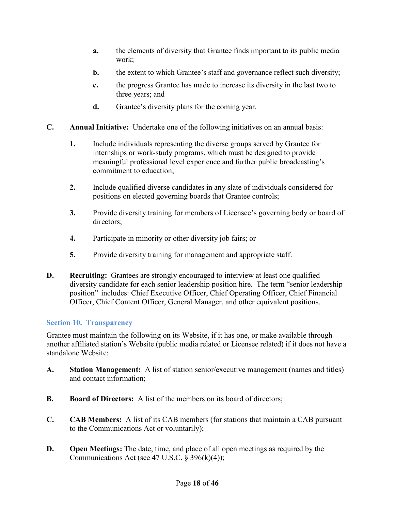- **a.** the elements of diversity that Grantee finds important to its public media work;
- **b.** the extent to which Grantee's staff and governance reflect such diversity;
- **c.** the progress Grantee has made to increase its diversity in the last two to three years; and
- **d.** Grantee's diversity plans for the coming year.
- **C. Annual Initiative:** Undertake one of the following initiatives on an annual basis:
	- **1.** Include individuals representing the diverse groups served by Grantee for internships or work-study programs, which must be designed to provide meaningful professional level experience and further public broadcasting's commitment to education;
	- **2.** Include qualified diverse candidates in any slate of individuals considered for positions on elected governing boards that Grantee controls;
	- **3.** Provide diversity training for members of Licensee's governing body or board of directors;
	- **4.** Participate in minority or other diversity job fairs; or
	- **5.** Provide diversity training for management and appropriate staff.
- **D. Recruiting:** Grantees are strongly encouraged to interview at least one qualified diversity candidate for each senior leadership position hire. The term "senior leadership position" includes: Chief Executive Officer, Chief Operating Officer, Chief Financial Officer, Chief Content Officer, General Manager, and other equivalent positions.

## <span id="page-17-0"></span>**Section 10. Transparency**

Grantee must maintain the following on its Website, if it has one, or make available through another affiliated station's Website (public media related or Licensee related) if it does not have a standalone Website:

- **A. Station Management:** A list of station senior/executive management (names and titles) and contact information;
- **B. Board of Directors:** A list of the members on its board of directors;
- **C. CAB Members:** A list of its CAB members (for stations that maintain a CAB pursuant to the Communications Act or voluntarily);
- **D. Open Meetings:** The date, time, and place of all open meetings as required by the Communications Act (see 47 U.S.C.  $\S$  396(k)(4));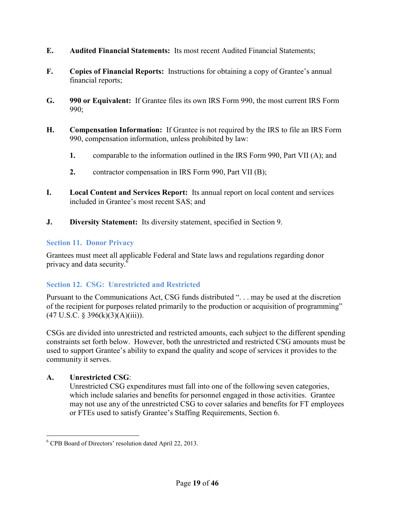- **E. Audited Financial Statements:** Its most recent Audited Financial Statements;
- **F. Copies of Financial Reports:** Instructions for obtaining a copy of Grantee's annual financial reports;
- **G. 990 or Equivalent:** If Grantee files its own IRS Form 990, the most current IRS Form 990;
- **H. Compensation Information:** If Grantee is not required by the IRS to file an IRS Form 990, compensation information, unless prohibited by law:
	- **1.** comparable to the information outlined in the IRS Form 990, Part VII (A); and
	- **2.** contractor compensation in IRS Form 990, Part VII (B);
- **I. Local Content and Services Report:** Its annual report on local content and services included in Grantee's most recent SAS; and
- **J. Diversity Statement:** Its diversity statement, specified in Section 9.

### <span id="page-18-0"></span>**Section 11. Donor Privacy**

Grantees must meet all applicable Federal and State laws and regulations regarding donor privacy and data security.<sup>6</sup>

## <span id="page-18-1"></span>**Section 12. CSG: Unrestricted and Restricted**

Pursuant to the Communications Act, CSG funds distributed ". . . may be used at the discretion of the recipient for purposes related primarily to the production or acquisition of programming"  $(47 \text{ U.S.C. } § 396(k)(3)(A)(iii)).$ 

CSGs are divided into unrestricted and restricted amounts, each subject to the different spending constraints set forth below. However, both the unrestricted and restricted CSG amounts must be used to support Grantee's ability to expand the quality and scope of services it provides to the community it serves.

## **A. Unrestricted CSG**:

 $\overline{a}$ 

 Unrestricted CSG expenditures must fall into one of the following seven categories, which include salaries and benefits for personnel engaged in those activities. Grantee may not use any of the unrestricted CSG to cover salaries and benefits for FT employees or FTEs used to satisfy Grantee's Staffing Requirements, Section 6.

<sup>6</sup> CPB Board of Directors' resolution dated April 22, 2013.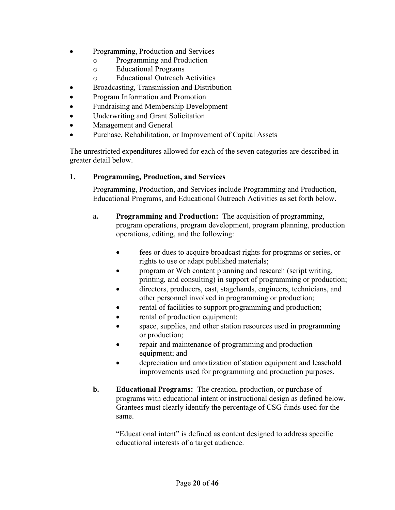- Programming, Production and Services
	- o Programming and Production
	- o Educational Programs
	- o Educational Outreach Activities
- Broadcasting, Transmission and Distribution
- Program Information and Promotion
- Fundraising and Membership Development
- Underwriting and Grant Solicitation
- Management and General
- Purchase, Rehabilitation, or Improvement of Capital Assets

The unrestricted expenditures allowed for each of the seven categories are described in greater detail below.

#### **1. Programming, Production, and Services**

Programming, Production, and Services include Programming and Production, Educational Programs, and Educational Outreach Activities as set forth below.

- **a. Programming and Production:** The acquisition of programming, program operations, program development, program planning, production operations, editing, and the following:
	- fees or dues to acquire broadcast rights for programs or series, or rights to use or adapt published materials;
	- program or Web content planning and research (script writing, printing, and consulting) in support of programming or production;
	- directors, producers, cast, stagehands, engineers, technicians, and other personnel involved in programming or production;
	- rental of facilities to support programming and production;
	- rental of production equipment;
	- space, supplies, and other station resources used in programming or production;
	- repair and maintenance of programming and production equipment; and
	- depreciation and amortization of station equipment and leasehold improvements used for programming and production purposes.
- **b. Educational Programs:** The creation, production, or purchase of programs with educational intent or instructional design as defined below. Grantees must clearly identify the percentage of CSG funds used for the same.

"Educational intent" is defined as content designed to address specific educational interests of a target audience.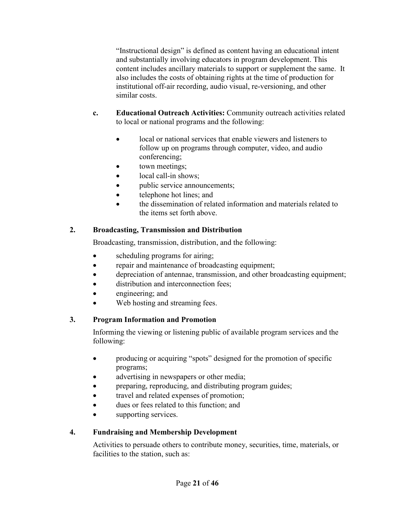"Instructional design" is defined as content having an educational intent and substantially involving educators in program development. This content includes ancillary materials to support or supplement the same. It also includes the costs of obtaining rights at the time of production for institutional off-air recording, audio visual, re-versioning, and other similar costs.

- **c. Educational Outreach Activities:** Community outreach activities related to local or national programs and the following:
	- local or national services that enable viewers and listeners to follow up on programs through computer, video, and audio conferencing;
	- town meetings;
	- local call-in shows;
	- public service announcements;
	- telephone hot lines; and
	- the dissemination of related information and materials related to the items set forth above.

## **2. Broadcasting, Transmission and Distribution**

Broadcasting, transmission, distribution, and the following:

- scheduling programs for airing;
- repair and maintenance of broadcasting equipment;
- depreciation of antennae, transmission, and other broadcasting equipment;
- distribution and interconnection fees;
- engineering; and
- Web hosting and streaming fees.

## **3. Program Information and Promotion**

Informing the viewing or listening public of available program services and the following:

- producing or acquiring "spots" designed for the promotion of specific programs;
- advertising in newspapers or other media;
- preparing, reproducing, and distributing program guides;
- travel and related expenses of promotion;
- dues or fees related to this function; and
- supporting services.

## **4. Fundraising and Membership Development**

Activities to persuade others to contribute money, securities, time, materials, or facilities to the station, such as: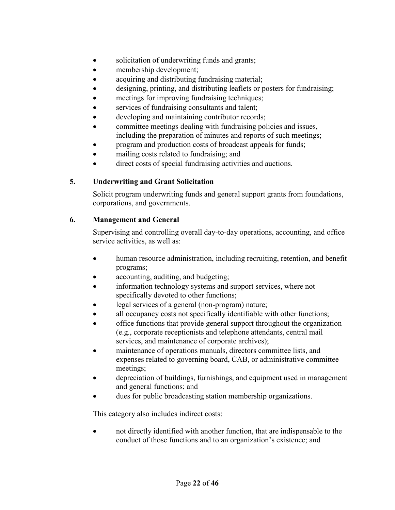- solicitation of underwriting funds and grants;
- membership development;
- acquiring and distributing fundraising material;
- designing, printing, and distributing leaflets or posters for fundraising;
- meetings for improving fundraising techniques;
- services of fundraising consultants and talent;
- developing and maintaining contributor records;
- committee meetings dealing with fundraising policies and issues, including the preparation of minutes and reports of such meetings;
- program and production costs of broadcast appeals for funds;
- mailing costs related to fundraising; and
- direct costs of special fundraising activities and auctions.

#### **5. Underwriting and Grant Solicitation**

Solicit program underwriting funds and general support grants from foundations, corporations, and governments.

#### **6. Management and General**

Supervising and controlling overall day-to-day operations, accounting, and office service activities, as well as:

- human resource administration, including recruiting, retention, and benefit programs;
- accounting, auditing, and budgeting;
- information technology systems and support services, where not specifically devoted to other functions;
- legal services of a general (non-program) nature;
- all occupancy costs not specifically identifiable with other functions;
- office functions that provide general support throughout the organization (e.g., corporate receptionists and telephone attendants, central mail services, and maintenance of corporate archives);
- maintenance of operations manuals, directors committee lists, and expenses related to governing board, CAB, or administrative committee meetings;
- depreciation of buildings, furnishings, and equipment used in management and general functions; and
- dues for public broadcasting station membership organizations.

This category also includes indirect costs:

 not directly identified with another function, that are indispensable to the conduct of those functions and to an organization's existence; and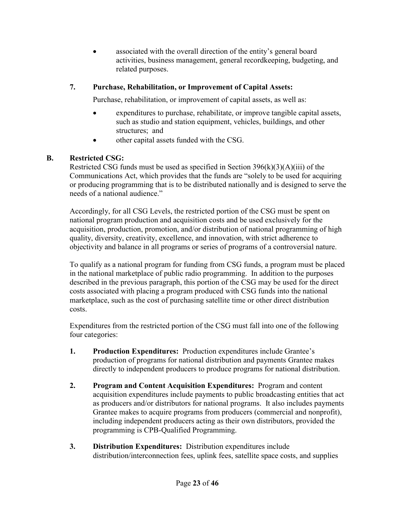associated with the overall direction of the entity's general board activities, business management, general recordkeeping, budgeting, and related purposes.

## **7. Purchase, Rehabilitation, or Improvement of Capital Assets:**

Purchase, rehabilitation, or improvement of capital assets, as well as:

- expenditures to purchase, rehabilitate, or improve tangible capital assets, such as studio and station equipment, vehicles, buildings, and other structures; and
- other capital assets funded with the CSG.

## **B. Restricted CSG:**

Restricted CSG funds must be used as specified in Section  $396(k)(3)(A)(iii)$  of the Communications Act, which provides that the funds are "solely to be used for acquiring or producing programming that is to be distributed nationally and is designed to serve the needs of a national audience."

Accordingly, for all CSG Levels, the restricted portion of the CSG must be spent on national program production and acquisition costs and be used exclusively for the acquisition, production, promotion, and/or distribution of national programming of high quality, diversity, creativity, excellence, and innovation, with strict adherence to objectivity and balance in all programs or series of programs of a controversial nature.

To qualify as a national program for funding from CSG funds, a program must be placed in the national marketplace of public radio programming. In addition to the purposes described in the previous paragraph, this portion of the CSG may be used for the direct costs associated with placing a program produced with CSG funds into the national marketplace, such as the cost of purchasing satellite time or other direct distribution costs.

Expenditures from the restricted portion of the CSG must fall into one of the following four categories:

- **1. Production Expenditures:** Production expenditures include Grantee's production of programs for national distribution and payments Grantee makes directly to independent producers to produce programs for national distribution.
- **2. Program and Content Acquisition Expenditures:** Program and content acquisition expenditures include payments to public broadcasting entities that act as producers and/or distributors for national programs. It also includes payments Grantee makes to acquire programs from producers (commercial and nonprofit), including independent producers acting as their own distributors, provided the programming is CPB-Qualified Programming.
- **3. Distribution Expenditures:** Distribution expenditures include distribution/interconnection fees, uplink fees, satellite space costs, and supplies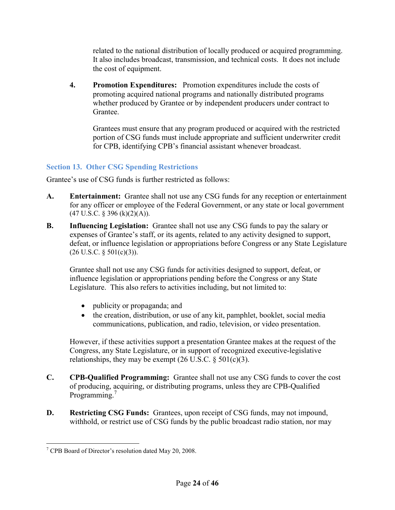related to the national distribution of locally produced or acquired programming. It also includes broadcast, transmission, and technical costs. It does not include the cost of equipment.

**4. Promotion Expenditures:** Promotion expenditures include the costs of promoting acquired national programs and nationally distributed programs whether produced by Grantee or by independent producers under contract to Grantee.

Grantees must ensure that any program produced or acquired with the restricted portion of CSG funds must include appropriate and sufficient underwriter credit for CPB, identifying CPB's financial assistant whenever broadcast.

## <span id="page-23-0"></span>**Section 13. Other CSG Spending Restrictions**

Grantee's use of CSG funds is further restricted as follows:

- **A. Entertainment:** Grantee shall not use any CSG funds for any reception or entertainment for any officer or employee of the Federal Government, or any state or local government  $(47 \text{ U.S.C. }$  § 396 (k)(2)(A)).
- **B. Influencing Legislation:** Grantee shall not use any CSG funds to pay the salary or expenses of Grantee's staff, or its agents, related to any activity designed to support, defeat, or influence legislation or appropriations before Congress or any State Legislature  $(26 \text{ U.S.C. } § 501(c)(3))$ .

Grantee shall not use any CSG funds for activities designed to support, defeat, or influence legislation or appropriations pending before the Congress or any State Legislature. This also refers to activities including, but not limited to:

- publicity or propaganda; and
- the creation, distribution, or use of any kit, pamphlet, booklet, social media communications, publication, and radio, television, or video presentation.

However, if these activities support a presentation Grantee makes at the request of the Congress, any State Legislature, or in support of recognized executive-legislative relationships, they may be exempt  $(26 \text{ U.S.C.} \S 501(c)(3))$ .

- **C. CPB-Qualified Programming:** Grantee shall not use any CSG funds to cover the cost of producing, acquiring, or distributing programs, unless they are CPB-Qualified Programming.<sup>7</sup>
- **D. Restricting CSG Funds:** Grantees, upon receipt of CSG funds, may not impound, withhold, or restrict use of CSG funds by the public broadcast radio station, nor may

 7 CPB Board of Director's resolution dated May 20, 2008.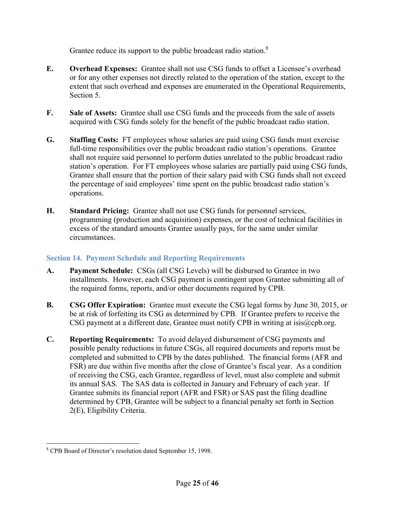Grantee reduce its support to the public broadcast radio station.<sup>8</sup>

- **E. Overhead Expenses:** Grantee shall not use CSG funds to offset a Licensee's overhead or for any other expenses not directly related to the operation of the station, except to the extent that such overhead and expenses are enumerated in the Operational Requirements, Section 5.
- **F. Sale of Assets:** Grantee shall use CSG funds and the proceeds from the sale of assets acquired with CSG funds solely for the benefit of the public broadcast radio station.
- **G. Staffing Costs:** FT employees whose salaries are paid using CSG funds must exercise full-time responsibilities over the public broadcast radio station's operations. Grantee shall not require said personnel to perform duties unrelated to the public broadcast radio station's operation. For FT employees whose salaries are partially paid using CSG funds, Grantee shall ensure that the portion of their salary paid with CSG funds shall not exceed the percentage of said employees' time spent on the public broadcast radio station's operations.
- **H. Standard Pricing:** Grantee shall not use CSG funds for personnel services, programming (production and acquisition) expenses, or the cost of technical facilities in excess of the standard amounts Grantee usually pays, for the same under similar circumstances.

## <span id="page-24-0"></span>**Section 14. Payment Schedule and Reporting Requirements**

- **A. Payment Schedule:** CSGs (all CSG Levels) will be disbursed to Grantee in two installments. However, each CSG payment is contingent upon Grantee submitting all of the required forms, reports, and/or other documents required by CPB.
- **B. CSG Offer Expiration:** Grantee must execute the CSG legal forms by June 30, 2015, or be at risk of forfeiting its CSG as determined by CPB. If Grantee prefers to receive the CSG payment at a different date, Grantee must notify CPB in writing at [isis@cpb.org.](mailto:isis@cpb.org)
- **C. Reporting Requirements:** To avoid delayed disbursement of CSG payments and possible penalty reductions in future CSGs, all required documents and reports must be completed and submitted to CPB by the dates published. The financial forms (AFR and FSR) are due within five months after the close of Grantee's fiscal year. As a condition of receiving the CSG, each Grantee, regardless of level, must also complete and submit its annual SAS. The SAS data is collected in January and February of each year. If Grantee submits its financial report (AFR and FSR) or SAS past the filing deadline determined by CPB, Grantee will be subject to a financial penalty set forth in Section 2(E), Eligibility Criteria.

 8 CPB Board of Director's resolution dated September 15, 1998.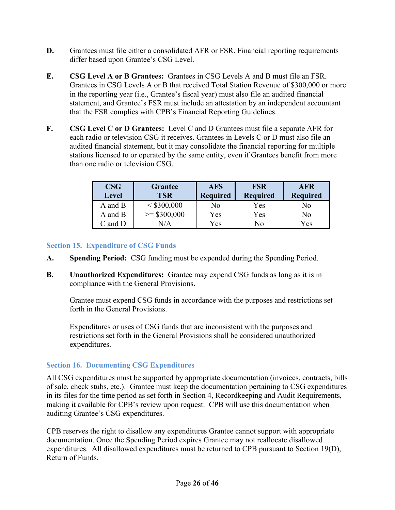- **D.** Grantees must file either a consolidated AFR or FSR. Financial reporting requirements differ based upon Grantee's CSG Level.
- **E. CSG Level A or B Grantees:** Grantees in CSG Levels A and B must file an FSR. Grantees in CSG Levels A or B that received Total Station Revenue of \$300,000 or more in the reporting year (i.e., Grantee's fiscal year) must also file an audited financial statement, and Grantee's FSR must include an attestation by an independent accountant that the FSR complies with CPB's Financial Reporting Guidelines.
- **F. CSG Level C or D Grantees:** Level C and D Grantees must file a separate AFR for each radio or television CSG it receives. Grantees in Levels C or D must also file an audited financial statement, but it may consolidate the financial reporting for multiple stations licensed to or operated by the same entity, even if Grantees benefit from more than one radio or television CSG.

| <b>CSG</b><br><b>Level</b> | <b>Grantee</b><br><b>TSR</b> | <b>AFS</b><br><b>Required</b> | <b>FSR</b><br><b>Required</b> | <b>AFR</b><br><b>Required</b> |
|----------------------------|------------------------------|-------------------------------|-------------------------------|-------------------------------|
| A and B                    | < \$300,000                  | No                            | Yes                           | Nο                            |
| A and B                    | $\ge$ \$300,000              | Yes                           | Yes                           | No                            |
| $C$ and $D$                |                              | Yes                           | No                            | 7es                           |

#### <span id="page-25-0"></span>**Section 15. Expenditure of CSG Funds**

- **A. Spending Period:** CSG funding must be expended during the Spending Period.
- **B. Unauthorized Expenditures:** Grantee may expend CSG funds as long as it is in compliance with the General Provisions.

Grantee must expend CSG funds in accordance with the purposes and restrictions set forth in the General Provisions.

Expenditures or uses of CSG funds that are inconsistent with the purposes and restrictions set forth in the General Provisions shall be considered unauthorized expenditures.

#### <span id="page-25-1"></span>**Section 16. Documenting CSG Expenditures**

All CSG expenditures must be supported by appropriate documentation (invoices, contracts, bills of sale, check stubs, etc.). Grantee must keep the documentation pertaining to CSG expenditures in its files for the time period as set forth in Section 4, Recordkeeping and Audit Requirements, making it available for CPB's review upon request. CPB will use this documentation when auditing Grantee's CSG expenditures.

CPB reserves the right to disallow any expenditures Grantee cannot support with appropriate documentation. Once the Spending Period expires Grantee may not reallocate disallowed expenditures. All disallowed expenditures must be returned to CPB pursuant to Section 19(D), Return of Funds.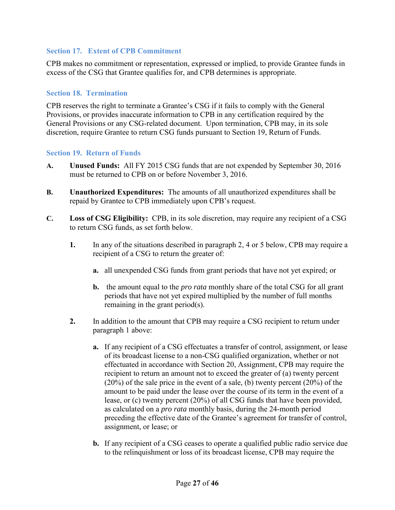#### <span id="page-26-0"></span>**Section 17. Extent of CPB Commitment**

CPB makes no commitment or representation, expressed or implied, to provide Grantee funds in excess of the CSG that Grantee qualifies for, and CPB determines is appropriate.

#### <span id="page-26-1"></span>**Section 18. Termination**

CPB reserves the right to terminate a Grantee's CSG if it fails to comply with the General Provisions, or provides inaccurate information to CPB in any certification required by the General Provisions or any CSG-related document. Upon termination, CPB may, in its sole discretion, require Grantee to return CSG funds pursuant to Section 19, Return of Funds.

#### <span id="page-26-2"></span>**Section 19. Return of Funds**

- **A. Unused Funds:** All FY 2015 CSG funds that are not expended by September 30, 2016 must be returned to CPB on or before November 3, 2016.
- **B. Unauthorized Expenditures:** The amounts of all unauthorized expenditures shall be repaid by Grantee to CPB immediately upon CPB's request.
- **C. Loss of CSG Eligibility:** CPB, in its sole discretion, may require any recipient of a CSG to return CSG funds, as set forth below.
	- **1.** In any of the situations described in paragraph 2, 4 or 5 below, CPB may require a recipient of a CSG to return the greater of:
		- **a.** all unexpended CSG funds from grant periods that have not yet expired; or
		- **b.** the amount equal to the *pro rata* monthly share of the total CSG for all grant periods that have not yet expired multiplied by the number of full months remaining in the grant period(s).
	- **2.** In addition to the amount that CPB may require a CSG recipient to return under paragraph 1 above:
		- **a.** If any recipient of a CSG effectuates a transfer of control, assignment, or lease of its broadcast license to a non-CSG qualified organization, whether or not effectuated in accordance with Section 20, Assignment, CPB may require the recipient to return an amount not to exceed the greater of (a) twenty percent (20%) of the sale price in the event of a sale, (b) twenty percent (20%) of the amount to be paid under the lease over the course of its term in the event of a lease, or (c) twenty percent (20%) of all CSG funds that have been provided, as calculated on a *pro rata* monthly basis, during the 24-month period preceding the effective date of the Grantee's agreement for transfer of control, assignment, or lease; or
		- **b.** If any recipient of a CSG ceases to operate a qualified public radio service due to the relinquishment or loss of its broadcast license, CPB may require the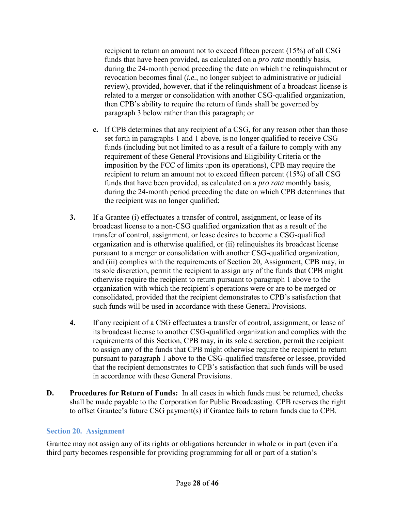recipient to return an amount not to exceed fifteen percent (15%) of all CSG funds that have been provided, as calculated on a *pro rata* monthly basis, during the 24-month period preceding the date on which the relinquishment or revocation becomes final (*i.e.*, no longer subject to administrative or judicial review), provided, however, that if the relinquishment of a broadcast license is related to a merger or consolidation with another CSG-qualified organization, then CPB's ability to require the return of funds shall be governed by paragraph 3 below rather than this paragraph; or

- **c.** If CPB determines that any recipient of a CSG, for any reason other than those set forth in paragraphs 1 and 1 above, is no longer qualified to receive CSG funds (including but not limited to as a result of a failure to comply with any requirement of these General Provisions and Eligibility Criteria or the imposition by the FCC of limits upon its operations), CPB may require the recipient to return an amount not to exceed fifteen percent (15%) of all CSG funds that have been provided, as calculated on a *pro rata* monthly basis, during the 24-month period preceding the date on which CPB determines that the recipient was no longer qualified;
- **3.** If a Grantee (i) effectuates a transfer of control, assignment, or lease of its broadcast license to a non-CSG qualified organization that as a result of the transfer of control, assignment, or lease desires to become a CSG-qualified organization and is otherwise qualified, or (ii) relinquishes its broadcast license pursuant to a merger or consolidation with another CSG-qualified organization, and (iii) complies with the requirements of Section 20, Assignment, CPB may, in its sole discretion, permit the recipient to assign any of the funds that CPB might otherwise require the recipient to return pursuant to paragraph 1 above to the organization with which the recipient's operations were or are to be merged or consolidated, provided that the recipient demonstrates to CPB's satisfaction that such funds will be used in accordance with these General Provisions.
- **4.** If any recipient of a CSG effectuates a transfer of control, assignment, or lease of its broadcast license to another CSG-qualified organization and complies with the requirements of this Section, CPB may, in its sole discretion, permit the recipient to assign any of the funds that CPB might otherwise require the recipient to return pursuant to paragraph 1 above to the CSG-qualified transferee or lessee, provided that the recipient demonstrates to CPB's satisfaction that such funds will be used in accordance with these General Provisions.
- **D. Procedures for Return of Funds:** In all cases in which funds must be returned, checks shall be made payable to the Corporation for Public Broadcasting. CPB reserves the right to offset Grantee's future CSG payment(s) if Grantee fails to return funds due to CPB.

#### <span id="page-27-0"></span>**Section 20. Assignment**

Grantee may not assign any of its rights or obligations hereunder in whole or in part (even if a third party becomes responsible for providing programming for all or part of a station's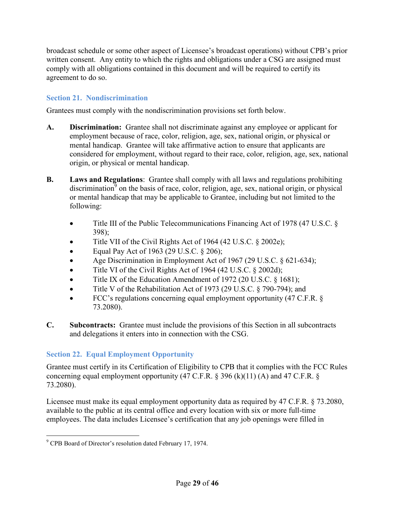broadcast schedule or some other aspect of Licensee's broadcast operations) without CPB's prior written consent. Any entity to which the rights and obligations under a CSG are assigned must comply with all obligations contained in this document and will be required to certify its agreement to do so.

### <span id="page-28-0"></span>**Section 21. Nondiscrimination**

Grantees must comply with the nondiscrimination provisions set forth below.

- **A. Discrimination:** Grantee shall not discriminate against any employee or applicant for employment because of race, color, religion, age, sex, national origin, or physical or mental handicap. Grantee will take affirmative action to ensure that applicants are considered for employment, without regard to their race, color, religion, age, sex, national origin, or physical or mental handicap.
- **B. Laws and Regulations**: Grantee shall comply with all laws and regulations prohibiting discrimination<sup>9</sup> on the basis of race, color, religion, age, sex, national origin, or physical or mental handicap that may be applicable to Grantee, including but not limited to the following:
	- Title III of the Public Telecommunications Financing Act of 1978 (47 U.S.C. § 398);
	- Title VII of the Civil Rights Act of 1964 (42 U.S.C. § 2002e);
	- Equal Pay Act of 1963 (29 U.S.C. § 206);
	- Age Discrimination in Employment Act of 1967 (29 U.S.C. § 621-634);
	- $\bullet$  Title VI of the Civil Rights Act of 1964 (42 U.S.C. § 2002d);
	- Title IX of the Education Amendment of 1972 (20 U.S.C. § 1681);
	- Title V of the Rehabilitation Act of 1973 (29 U.S.C. § 790-794); and
	- FCC's regulations concerning equal employment opportunity (47 C.F.R. § 73.2080).
- **C. Subcontracts:** Grantee must include the provisions of this Section in all subcontracts and delegations it enters into in connection with the CSG.

## <span id="page-28-1"></span>**Section 22. Equal Employment Opportunity**

Grantee must certify in its Certification of Eligibility to CPB that it complies with the FCC Rules concerning equal employment opportunity  $(47 \text{ C.F.R.} \$ § 396 (k)(11) (A) and 47 C.F.R. § 73.2080).

Licensee must make its equal employment opportunity data as required by 47 C.F.R. § 73.2080, available to the public at its central office and every location with six or more full-time employees. The data includes Licensee's certification that any job openings were filled in

 $\overline{a}$ 

<sup>&</sup>lt;sup>9</sup> CPB Board of Director's resolution dated February 17, 1974.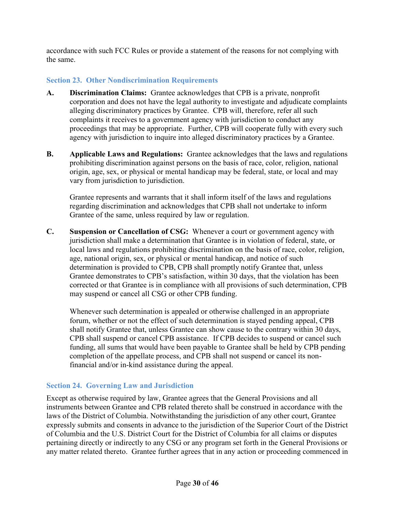accordance with such FCC Rules or provide a statement of the reasons for not complying with the same.

### <span id="page-29-0"></span>**Section 23. Other Nondiscrimination Requirements**

- **A. Discrimination Claims:** Grantee acknowledges that CPB is a private, nonprofit corporation and does not have the legal authority to investigate and adjudicate complaints alleging discriminatory practices by Grantee. CPB will, therefore, refer all such complaints it receives to a government agency with jurisdiction to conduct any proceedings that may be appropriate. Further, CPB will cooperate fully with every such agency with jurisdiction to inquire into alleged discriminatory practices by a Grantee.
- **B. Applicable Laws and Regulations:** Grantee acknowledges that the laws and regulations prohibiting discrimination against persons on the basis of race, color, religion, national origin, age, sex, or physical or mental handicap may be federal, state, or local and may vary from jurisdiction to jurisdiction.

Grantee represents and warrants that it shall inform itself of the laws and regulations regarding discrimination and acknowledges that CPB shall not undertake to inform Grantee of the same, unless required by law or regulation.

**C. Suspension or Cancellation of CSG:** Whenever a court or government agency with jurisdiction shall make a determination that Grantee is in violation of federal, state, or local laws and regulations prohibiting discrimination on the basis of race, color, religion, age, national origin, sex, or physical or mental handicap, and notice of such determination is provided to CPB, CPB shall promptly notify Grantee that, unless Grantee demonstrates to CPB's satisfaction, within 30 days, that the violation has been corrected or that Grantee is in compliance with all provisions of such determination, CPB may suspend or cancel all CSG or other CPB funding.

Whenever such determination is appealed or otherwise challenged in an appropriate forum, whether or not the effect of such determination is stayed pending appeal, CPB shall notify Grantee that, unless Grantee can show cause to the contrary within 30 days, CPB shall suspend or cancel CPB assistance. If CPB decides to suspend or cancel such funding, all sums that would have been payable to Grantee shall be held by CPB pending completion of the appellate process, and CPB shall not suspend or cancel its nonfinancial and/or in-kind assistance during the appeal.

#### <span id="page-29-1"></span>**Section 24. Governing Law and Jurisdiction**

Except as otherwise required by law, Grantee agrees that the General Provisions and all instruments between Grantee and CPB related thereto shall be construed in accordance with the laws of the District of Columbia. Notwithstanding the jurisdiction of any other court, Grantee expressly submits and consents in advance to the jurisdiction of the Superior Court of the District of Columbia and the U.S. District Court for the District of Columbia for all claims or disputes pertaining directly or indirectly to any CSG or any program set forth in the General Provisions or any matter related thereto. Grantee further agrees that in any action or proceeding commenced in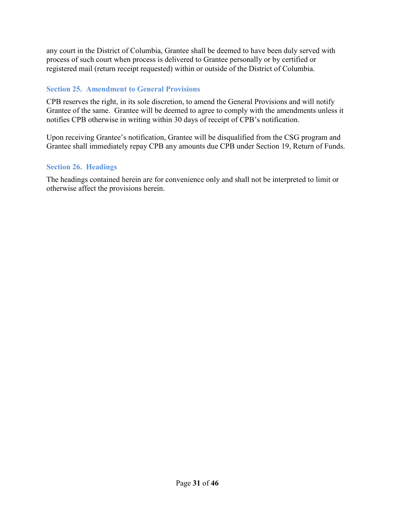any court in the District of Columbia, Grantee shall be deemed to have been duly served with process of such court when process is delivered to Grantee personally or by certified or registered mail (return receipt requested) within or outside of the District of Columbia.

#### <span id="page-30-0"></span>**Section 25. Amendment to General Provisions**

CPB reserves the right, in its sole discretion, to amend the General Provisions and will notify Grantee of the same. Grantee will be deemed to agree to comply with the amendments unless it notifies CPB otherwise in writing within 30 days of receipt of CPB's notification.

Upon receiving Grantee's notification, Grantee will be disqualified from the CSG program and Grantee shall immediately repay CPB any amounts due CPB under Section 19, Return of Funds.

### <span id="page-30-1"></span>**Section 26. Headings**

The headings contained herein are for convenience only and shall not be interpreted to limit or otherwise affect the provisions herein.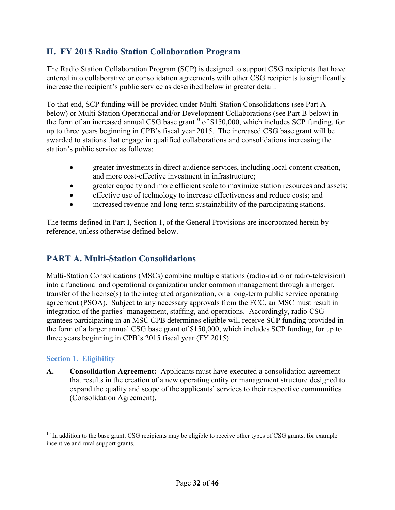## <span id="page-31-0"></span>**II. FY 2015 Radio Station Collaboration Program**

The Radio Station Collaboration Program (SCP) is designed to support CSG recipients that have entered into collaborative or consolidation agreements with other CSG recipients to significantly increase the recipient's public service as described below in greater detail.

To that end, SCP funding will be provided under Multi-Station Consolidations (see Part A below) or Multi-Station Operational and/or Development Collaborations (see Part B below) in the form of an increased annual CSG base grant<sup>10</sup> of \$150,000, which includes SCP funding, for up to three years beginning in CPB's fiscal year 2015. The increased CSG base grant will be awarded to stations that engage in qualified collaborations and consolidations increasing the station's public service as follows:

- greater investments in direct audience services, including local content creation, and more cost-effective investment in infrastructure;
- greater capacity and more efficient scale to maximize station resources and assets;
- effective use of technology to increase effectiveness and reduce costs; and
- increased revenue and long-term sustainability of the participating stations.

The terms defined in Part I, Section 1, of the General Provisions are incorporated herein by reference, unless otherwise defined below.

## <span id="page-31-1"></span>**PART A. Multi-Station Consolidations**

Multi-Station Consolidations (MSCs) combine multiple stations (radio-radio or radio-television) into a functional and operational organization under common management through a merger, transfer of the license(s) to the integrated organization, or a long-term public service operating agreement (PSOA). Subject to any necessary approvals from the FCC, an MSC must result in integration of the parties' management, staffing, and operations. Accordingly, radio CSG grantees participating in an MSC CPB determines eligible will receive SCP funding provided in the form of a larger annual CSG base grant of \$150,000, which includes SCP funding, for up to three years beginning in CPB's 2015 fiscal year (FY 2015).

#### <span id="page-31-2"></span>**Section 1. Eligibility**

 $\overline{a}$ 

**A. Consolidation Agreement:** Applicants must have executed a consolidation agreement that results in the creation of a new operating entity or management structure designed to expand the quality and scope of the applicants' services to their respective communities (Consolidation Agreement).

<sup>&</sup>lt;sup>10</sup> In addition to the base grant, CSG recipients may be eligible to receive other types of CSG grants, for example incentive and rural support grants.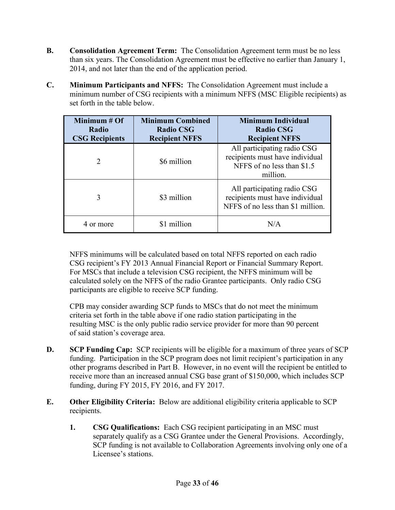- **B. Consolidation Agreement Term:** The Consolidation Agreement term must be no less than six years. The Consolidation Agreement must be effective no earlier than January 1, 2014, and not later than the end of the application period.
- **C. Minimum Participants and NFFS:** The Consolidation Agreement must include a minimum number of CSG recipients with a minimum NFFS (MSC Eligible recipients) as set forth in the table below.

| Minimum $#Of$<br>Radio<br><b>CSG Recipients</b> | <b>Minimum Combined</b><br><b>Radio CSG</b><br><b>Recipient NFFS</b> | <b>Minimum Individual</b><br><b>Radio CSG</b><br><b>Recipient NFFS</b>                                   |
|-------------------------------------------------|----------------------------------------------------------------------|----------------------------------------------------------------------------------------------------------|
| $\mathcal{D}_{\mathcal{L}}$                     | \$6 million                                                          | All participating radio CSG<br>recipients must have individual<br>NFFS of no less than \$1.5<br>million. |
| 3                                               | \$3 million                                                          | All participating radio CSG<br>recipients must have individual<br>NFFS of no less than \$1 million.      |
| 4 or more                                       | \$1 million                                                          | N/A                                                                                                      |

NFFS minimums will be calculated based on total NFFS reported on each radio CSG recipient's FY 2013 Annual Financial Report or Financial Summary Report. For MSCs that include a television CSG recipient, the NFFS minimum will be calculated solely on the NFFS of the radio Grantee participants. Only radio CSG participants are eligible to receive SCP funding.

CPB may consider awarding SCP funds to MSCs that do not meet the minimum criteria set forth in the table above if one radio station participating in the resulting MSC is the only public radio service provider for more than 90 percent of said station's coverage area.

- **D. SCP Funding Cap:** SCP recipients will be eligible for a maximum of three years of SCP funding. Participation in the SCP program does not limit recipient's participation in any other programs described in Part B. However, in no event will the recipient be entitled to receive more than an increased annual CSG base grant of \$150,000, which includes SCP funding, during FY 2015, FY 2016, and FY 2017.
- **E. Other Eligibility Criteria:** Below are additional eligibility criteria applicable to SCP recipients.
	- **1. CSG Qualifications:** Each CSG recipient participating in an MSC must separately qualify as a CSG Grantee under the General Provisions. Accordingly, SCP funding is not available to Collaboration Agreements involving only one of a Licensee's stations.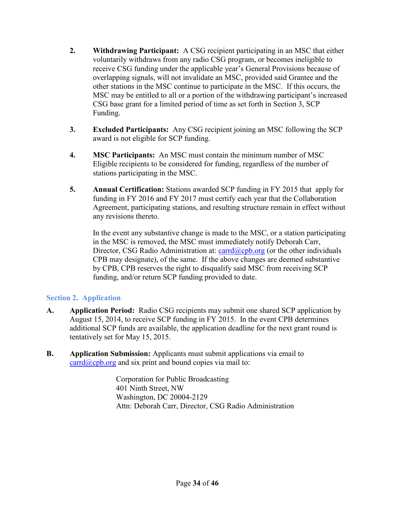- **2. Withdrawing Participant:** A CSG recipient participating in an MSC that either voluntarily withdraws from any radio CSG program, or becomes ineligible to receive CSG funding under the applicable year's General Provisions because of overlapping signals, will not invalidate an MSC, provided said Grantee and the other stations in the MSC continue to participate in the MSC. If this occurs, the MSC may be entitled to all or a portion of the withdrawing participant's increased CSG base grant for a limited period of time as set forth in Section 3, SCP Funding.
- **3. Excluded Participants:** Any CSG recipient joining an MSC following the SCP award is not eligible for SCP funding.
- **4. MSC Participants:** An MSC must contain the minimum number of MSC Eligible recipients to be considered for funding, regardless of the number of stations participating in the MSC.
- **5. Annual Certification:** Stations awarded SCP funding in FY 2015 that apply for funding in FY 2016 and FY 2017 must certify each year that the Collaboration Agreement, participating stations, and resulting structure remain in effect without any revisions thereto.

In the event any substantive change is made to the MSC, or a station participating in the MSC is removed, the MSC must immediately notify Deborah Carr, Director, CSG Radio Administration at:  $card(a/cpb.org$  (or the other individuals CPB may designate), of the same. If the above changes are deemed substantive by CPB, CPB reserves the right to disqualify said MSC from receiving SCP funding, and/or return SCP funding provided to date.

#### <span id="page-33-0"></span>**Section 2. Application**

- **A. Application Period:** Radio CSG recipients may submit one shared SCP application by August 15, 2014, to receive SCP funding in FY 2015. In the event CPB determines additional SCP funds are available, the application deadline for the next grant round is tentatively set for May 15, 2015.
- **B. Application Submission:** Applicants must submit applications via email to  $card(\omega$ cpb.org and six print and bound copies via mail to:

Corporation for Public Broadcasting 401 Ninth Street, NW Washington, DC 20004-2129 Attn: Deborah Carr, Director, CSG Radio Administration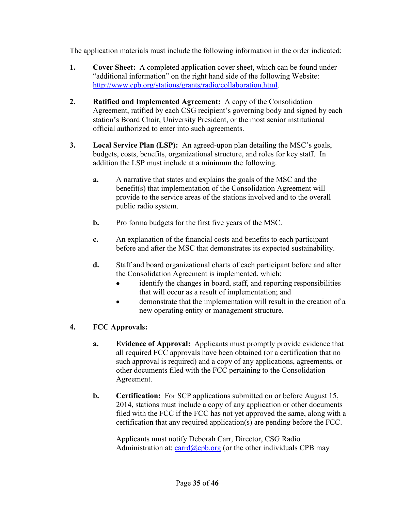The application materials must include the following information in the order indicated:

- **1. Cover Sheet:** A completed application cover sheet, which can be found under "additional information" on the right hand side of the following Website: [http://www.cpb.org/stations/grants/radio/collaboration.html.](http://www.cpb.org/stations/grants/radio/collaboration.html)
- **2. Ratified and Implemented Agreement:** A copy of the Consolidation Agreement, ratified by each CSG recipient's governing body and signed by each station's Board Chair, University President, or the most senior institutional official authorized to enter into such agreements.
- **3. Local Service Plan (LSP):** An agreed-upon plan detailing the MSC's goals, budgets, costs, benefits, organizational structure, and roles for key staff. In addition the LSP must include at a minimum the following.
	- **a.** A narrative that states and explains the goals of the MSC and the benefit(s) that implementation of the Consolidation Agreement will provide to the service areas of the stations involved and to the overall public radio system.
	- **b.** Pro forma budgets for the first five years of the MSC.
	- **c.** An explanation of the financial costs and benefits to each participant before and after the MSC that demonstrates its expected sustainability.
	- **d.** Staff and board organizational charts of each participant before and after the Consolidation Agreement is implemented, which:
		- identify the changes in board, staff, and reporting responsibilities that will occur as a result of implementation; and
		- demonstrate that the implementation will result in the creation of a new operating entity or management structure.

## **4. FCC Approvals:**

- **a. Evidence of Approval:** Applicants must promptly provide evidence that all required FCC approvals have been obtained (or a certification that no such approval is required) and a copy of any applications, agreements, or other documents filed with the FCC pertaining to the Consolidation Agreement.
- **b. Certification:** For SCP applications submitted on or before August 15, 2014, stations must include a copy of any application or other documents filed with the FCC if the FCC has not yet approved the same, along with a certification that any required application(s) are pending before the FCC.

Applicants must notify Deborah Carr, Director, CSG Radio Administration at:  $card(a/cpb.org$  (or the other individuals CPB may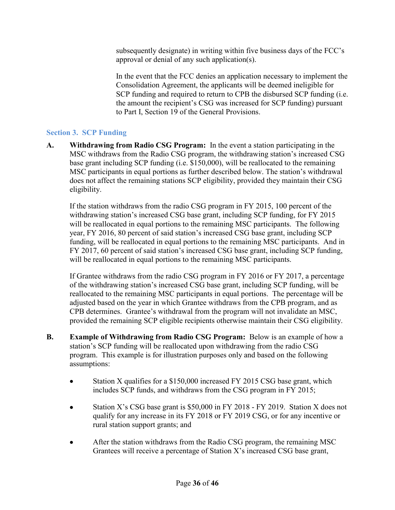subsequently designate) in writing within five business days of the FCC's approval or denial of any such application(s).

In the event that the FCC denies an application necessary to implement the Consolidation Agreement, the applicants will be deemed ineligible for SCP funding and required to return to CPB the disbursed SCP funding (i.e. the amount the recipient's CSG was increased for SCP funding) pursuant to Part I, Section 19 of the General Provisions.

## <span id="page-35-0"></span>**Section 3. SCP Funding**

**A. Withdrawing from Radio CSG Program:** In the event a station participating in the MSC withdraws from the Radio CSG program, the withdrawing station's increased CSG base grant including SCP funding (i.e. \$150,000), will be reallocated to the remaining MSC participants in equal portions as further described below. The station's withdrawal does not affect the remaining stations SCP eligibility, provided they maintain their CSG eligibility.

If the station withdraws from the radio CSG program in FY 2015, 100 percent of the withdrawing station's increased CSG base grant, including SCP funding, for FY 2015 will be reallocated in equal portions to the remaining MSC participants. The following year, FY 2016, 80 percent of said station's increased CSG base grant, including SCP funding, will be reallocated in equal portions to the remaining MSC participants. And in FY 2017, 60 percent of said station's increased CSG base grant, including SCP funding, will be reallocated in equal portions to the remaining MSC participants.

If Grantee withdraws from the radio CSG program in FY 2016 or FY 2017, a percentage of the withdrawing station's increased CSG base grant, including SCP funding, will be reallocated to the remaining MSC participants in equal portions. The percentage will be adjusted based on the year in which Grantee withdraws from the CPB program, and as CPB determines. Grantee's withdrawal from the program will not invalidate an MSC, provided the remaining SCP eligible recipients otherwise maintain their CSG eligibility.

- **B. Example of Withdrawing from Radio CSG Program:** Below is an example of how a station's SCP funding will be reallocated upon withdrawing from the radio CSG program. This example is for illustration purposes only and based on the following assumptions:
	- Station X qualifies for a \$150,000 increased FY 2015 CSG base grant, which includes SCP funds, and withdraws from the CSG program in FY 2015;
	- Station X's CSG base grant is \$50,000 in FY 2018 FY 2019. Station X does not qualify for any increase in its FY 2018 or FY 2019 CSG, or for any incentive or rural station support grants; and
	- After the station withdraws from the Radio CSG program, the remaining MSC Grantees will receive a percentage of Station X's increased CSG base grant,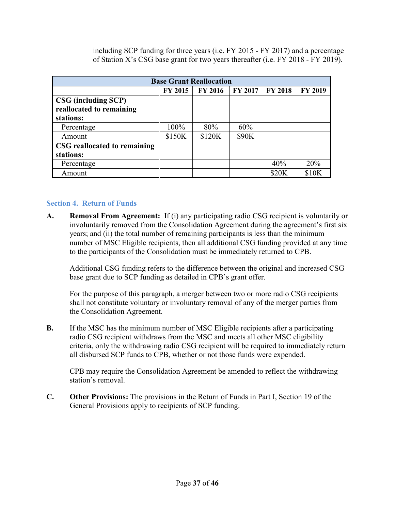including SCP funding for three years (i.e. FY 2015 - FY 2017) and a percentage of Station X's CSG base grant for two years thereafter (i.e. FY 2018 - FY 2019).

| <b>Base Grant Reallocation</b>                                      |                |                |              |                |                |  |
|---------------------------------------------------------------------|----------------|----------------|--------------|----------------|----------------|--|
|                                                                     | <b>FY 2015</b> | <b>FY 2016</b> | FY 2017      | <b>FY 2018</b> | <b>FY 2019</b> |  |
| <b>CSG</b> (including SCP)<br>reallocated to remaining<br>stations: |                |                |              |                |                |  |
| Percentage                                                          | 100%           | 80%            | 60%          |                |                |  |
| Amount                                                              | \$150K         | \$120K         | <b>\$90K</b> |                |                |  |
| CSG reallocated to remaining<br>stations:                           |                |                |              |                |                |  |
|                                                                     |                |                |              |                |                |  |
| Percentage                                                          |                |                |              | 40%            | 20%            |  |
| Amount                                                              |                |                |              | \$20K          | \$10K          |  |

#### <span id="page-36-0"></span>**Section 4. Return of Funds**

**A. Removal From Agreement:** If (i) any participating radio CSG recipient is voluntarily or involuntarily removed from the Consolidation Agreement during the agreement's first six years; and (ii) the total number of remaining participants is less than the minimum number of MSC Eligible recipients, then all additional CSG funding provided at any time to the participants of the Consolidation must be immediately returned to CPB.

Additional CSG funding refers to the difference between the original and increased CSG base grant due to SCP funding as detailed in CPB's grant offer.

For the purpose of this paragraph, a merger between two or more radio CSG recipients shall not constitute voluntary or involuntary removal of any of the merger parties from the Consolidation Agreement.

**B.** If the MSC has the minimum number of MSC Eligible recipients after a participating radio CSG recipient withdraws from the MSC and meets all other MSC eligibility criteria, only the withdrawing radio CSG recipient will be required to immediately return all disbursed SCP funds to CPB, whether or not those funds were expended.

CPB may require the Consolidation Agreement be amended to reflect the withdrawing station's removal.

**C. Other Provisions:** The provisions in the Return of Funds in Part I, Section 19 of the General Provisions apply to recipients of SCP funding.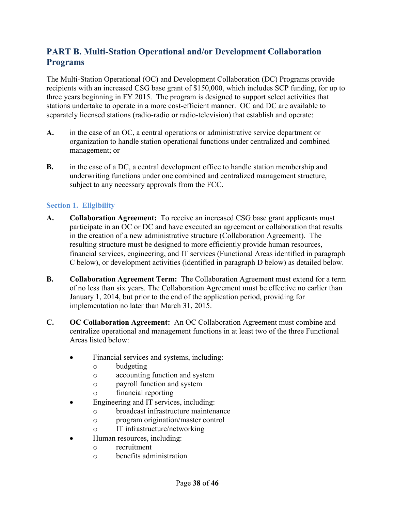## <span id="page-37-0"></span>**PART B. Multi-Station Operational and/or Development Collaboration Programs**

The Multi-Station Operational (OC) and Development Collaboration (DC) Programs provide recipients with an increased CSG base grant of \$150,000, which includes SCP funding, for up to three years beginning in FY 2015. The program is designed to support select activities that stations undertake to operate in a more cost-efficient manner. OC and DC are available to separately licensed stations (radio-radio or radio-television) that establish and operate:

- **A.** in the case of an OC, a central operations or administrative service department or organization to handle station operational functions under centralized and combined management; or
- **B.** in the case of a DC, a central development office to handle station membership and underwriting functions under one combined and centralized management structure, subject to any necessary approvals from the FCC.

#### <span id="page-37-1"></span>**Section 1. Eligibility**

- **A. Collaboration Agreement:** To receive an increased CSG base grant applicants must participate in an OC or DC and have executed an agreement or collaboration that results in the creation of a new administrative structure (Collaboration Agreement). The resulting structure must be designed to more efficiently provide human resources, financial services, engineering, and IT services (Functional Areas identified in paragraph C below), or development activities (identified in paragraph D below) as detailed below.
- **B. Collaboration Agreement Term:** The Collaboration Agreement must extend for a term of no less than six years. The Collaboration Agreement must be effective no earlier than January 1, 2014, but prior to the end of the application period, providing for implementation no later than March 31, 2015.
- **C. OC Collaboration Agreement:** An OC Collaboration Agreement must combine and centralize operational and management functions in at least two of the three Functional Areas listed below:
	- Financial services and systems, including:
		- o budgeting
		- o accounting function and system
		- o payroll function and system
		- o financial reporting
	- Engineering and IT services, including:
		- o broadcast infrastructure maintenance
		- o program origination/master control
		- o IT infrastructure/networking
	- Human resources, including:
		- o recruitment
		- o benefits administration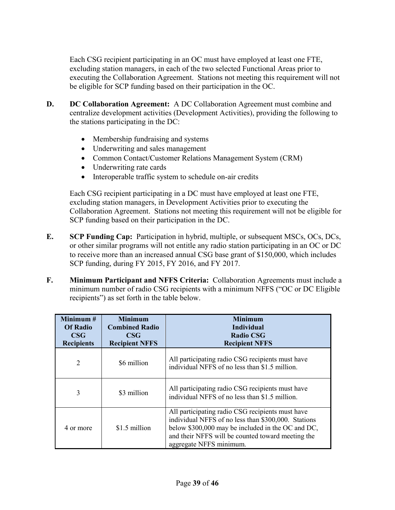Each CSG recipient participating in an OC must have employed at least one FTE, excluding station managers, in each of the two selected Functional Areas prior to executing the Collaboration Agreement. Stations not meeting this requirement will not be eligible for SCP funding based on their participation in the OC.

- **D. DC Collaboration Agreement:** A DC Collaboration Agreement must combine and centralize development activities (Development Activities), providing the following to the stations participating in the DC:
	- Membership fundraising and systems
	- Underwriting and sales management
	- Common Contact/Customer Relations Management System (CRM)
	- Underwriting rate cards
	- Interoperable traffic system to schedule on-air credits

Each CSG recipient participating in a DC must have employed at least one FTE, excluding station managers, in Development Activities prior to executing the Collaboration Agreement. Stations not meeting this requirement will not be eligible for SCP funding based on their participation in the DC.

- **E. SCP Funding Cap:** Participation in hybrid, multiple, or subsequent MSCs, OCs, DCs, or other similar programs will not entitle any radio station participating in an OC or DC to receive more than an increased annual CSG base grant of \$150,000, which includes SCP funding, during FY 2015, FY 2016, and FY 2017.
- **F. Minimum Participant and NFFS Criteria:** Collaboration Agreements must include a minimum number of radio CSG recipients with a minimum NFFS ("OC or DC Eligible recipients") as set forth in the table below.

| Minimum $#$<br><b>Of Radio</b><br><b>CSG</b><br><b>Recipients</b> | <b>Minimum</b><br><b>Combined Radio</b><br><b>CSG</b><br><b>Recipient NFFS</b> | <b>Minimum</b><br><b>Individual</b><br><b>Radio CSG</b><br><b>Recipient NFFS</b>                                                                                                                                                             |
|-------------------------------------------------------------------|--------------------------------------------------------------------------------|----------------------------------------------------------------------------------------------------------------------------------------------------------------------------------------------------------------------------------------------|
| $\overline{2}$                                                    | \$6 million                                                                    | All participating radio CSG recipients must have<br>individual NFFS of no less than \$1.5 million.                                                                                                                                           |
| 3                                                                 | \$3 million                                                                    | All participating radio CSG recipients must have<br>individual NFFS of no less than \$1.5 million.                                                                                                                                           |
| 4 or more                                                         | \$1.5 million                                                                  | All participating radio CSG recipients must have<br>individual NFFS of no less than \$300,000. Stations<br>below \$300,000 may be included in the OC and DC,<br>and their NFFS will be counted toward meeting the<br>aggregate NFFS minimum. |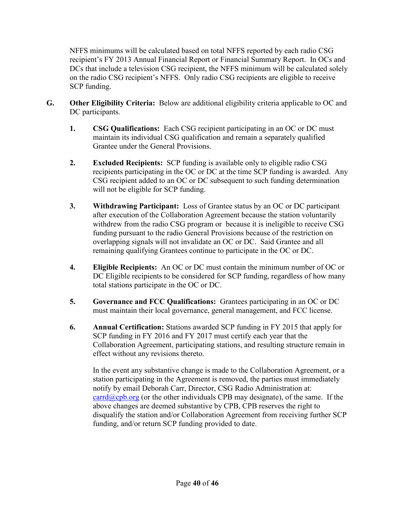NFFS minimums will be calculated based on total NFFS reported by each radio CSG recipient's FY 2013 Annual Financial Report or Financial Summary Report. In OCs and DCs that include a television CSG recipient, the NFFS minimum will be calculated solely on the radio CSG recipient's NFFS. Only radio CSG recipients are eligible to receive SCP funding.

- **G. Other Eligibility Criteria:** Below are additional eligibility criteria applicable to OC and DC participants.
	- **1. CSG Qualifications:** Each CSG recipient participating in an OC or DC must maintain its individual CSG qualification and remain a separately qualified Grantee under the General Provisions.
	- **2. Excluded Recipients:** SCP funding is available only to eligible radio CSG recipients participating in the OC or DC at the time SCP funding is awarded. Any CSG recipient added to an OC or DC subsequent to such funding determination will not be eligible for SCP funding.
	- **3. Withdrawing Participant:** Loss of Grantee status by an OC or DC participant after execution of the Collaboration Agreement because the station voluntarily withdrew from the radio CSG program or because it is ineligible to receive CSG funding pursuant to the radio General Provisions because of the restriction on overlapping signals will not invalidate an OC or DC. Said Grantee and all remaining qualifying Grantees continue to participate in the OC or DC.
	- **4. Eligible Recipients:** An OC or DC must contain the minimum number of OC or DC Eligible recipients to be considered for SCP funding, regardless of how many total stations participate in the OC or DC.
	- **5. Governance and FCC Qualifications:** Grantees participating in an OC or DC must maintain their local governance, general management, and FCC license.
	- **6. Annual Certification:** Stations awarded SCP funding in FY 2015 that apply for SCP funding in FY 2016 and FY 2017 must certify each year that the Collaboration Agreement, participating stations, and resulting structure remain in effect without any revisions thereto.

In the event any substantive change is made to the Collaboration Agreement, or a station participating in the Agreement is removed, the parties must immediately notify by email Deborah Carr, Director, CSG Radio Administration at:  $card(a$ cpb.org (or the other individuals CPB may designate), of the same. If the above changes are deemed substantive by CPB, CPB reserves the right to disqualify the station and/or Collaboration Agreement from receiving further SCP funding, and/or return SCP funding provided to date.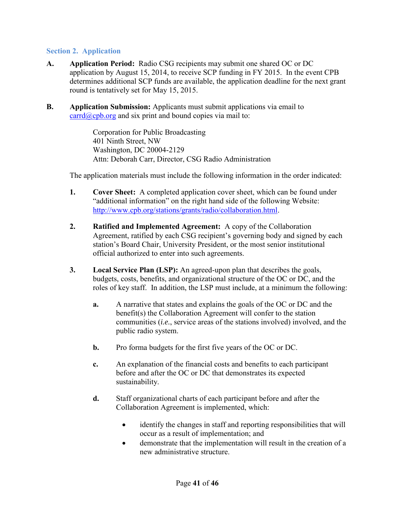#### <span id="page-40-0"></span>**Section 2. Application**

- **A. Application Period:** Radio CSG recipients may submit one shared OC or DC application by August 15, 2014, to receive SCP funding in FY 2015. In the event CPB determines additional SCP funds are available, the application deadline for the next grant round is tentatively set for May 15, 2015.
- **B. Application Submission:** Applicants must submit applications via email to  $card(\partial_{\mathcal{C}}$  carrd $\partial_{\mathcal{C}}$  copies via mail to:

Corporation for Public Broadcasting 401 Ninth Street, NW Washington, DC 20004-2129 Attn: Deborah Carr, Director, CSG Radio Administration

The application materials must include the following information in the order indicated:

- **1. Cover Sheet:** A completed application cover sheet, which can be found under "additional information" on the right hand side of the following Website: [http://www.cpb.org/stations/grants/radio/collaboration.html.](http://www.cpb.org/stations/grants/radio/collaboration.html)
- **2. Ratified and Implemented Agreement:** A copy of the Collaboration Agreement, ratified by each CSG recipient's governing body and signed by each station's Board Chair, University President, or the most senior institutional official authorized to enter into such agreements.
- **3. Local Service Plan (LSP):** An agreed-upon plan that describes the goals, budgets, costs, benefits, and organizational structure of the OC or DC, and the roles of key staff. In addition, the LSP must include, at a minimum the following:
	- **a.** A narrative that states and explains the goals of the OC or DC and the benefit(s) the Collaboration Agreement will confer to the station communities (*i.e.*, service areas of the stations involved) involved, and the public radio system.
	- **b.** Pro forma budgets for the first five years of the OC or DC.
	- **c.** An explanation of the financial costs and benefits to each participant before and after the OC or DC that demonstrates its expected sustainability.
	- **d.** Staff organizational charts of each participant before and after the Collaboration Agreement is implemented, which:
		- identify the changes in staff and reporting responsibilities that will occur as a result of implementation; and
		- demonstrate that the implementation will result in the creation of a new administrative structure.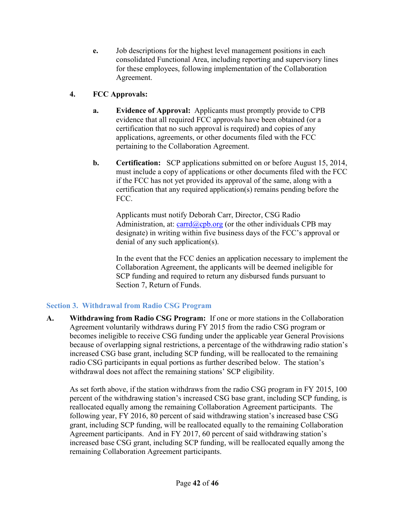- **e.** Job descriptions for the highest level management positions in each consolidated Functional Area, including reporting and supervisory lines for these employees, following implementation of the Collaboration Agreement.
- **4. FCC Approvals:** 
	- **a. Evidence of Approval:** Applicants must promptly provide to CPB evidence that all required FCC approvals have been obtained (or a certification that no such approval is required) and copies of any applications, agreements, or other documents filed with the FCC pertaining to the Collaboration Agreement.
	- **b. Certification:** SCP applications submitted on or before August 15, 2014, must include a copy of applications or other documents filed with the FCC if the FCC has not yet provided its approval of the same, along with a certification that any required application(s) remains pending before the FCC.

Applicants must notify Deborah Carr, Director, CSG Radio Administration, at: [carrd@cpb.org](mailto:dcarr@cpb.org) (or the other individuals CPB may designate) in writing within five business days of the FCC's approval or denial of any such application(s).

In the event that the FCC denies an application necessary to implement the Collaboration Agreement, the applicants will be deemed ineligible for SCP funding and required to return any disbursed funds pursuant to Section 7, Return of Funds.

## <span id="page-41-0"></span>**Section 3. Withdrawal from Radio CSG Program**

**A. Withdrawing from Radio CSG Program:** If one or more stations in the Collaboration Agreement voluntarily withdraws during FY 2015 from the radio CSG program or becomes ineligible to receive CSG funding under the applicable year General Provisions because of overlapping signal restrictions, a percentage of the withdrawing radio station's increased CSG base grant, including SCP funding, will be reallocated to the remaining radio CSG participants in equal portions as further described below. The station's withdrawal does not affect the remaining stations' SCP eligibility.

As set forth above, if the station withdraws from the radio CSG program in FY 2015, 100 percent of the withdrawing station's increased CSG base grant, including SCP funding, is reallocated equally among the remaining Collaboration Agreement participants. The following year, FY 2016, 80 percent of said withdrawing station's increased base CSG grant, including SCP funding, will be reallocated equally to the remaining Collaboration Agreement participants. And in FY 2017, 60 percent of said withdrawing station's increased base CSG grant, including SCP funding, will be reallocated equally among the remaining Collaboration Agreement participants.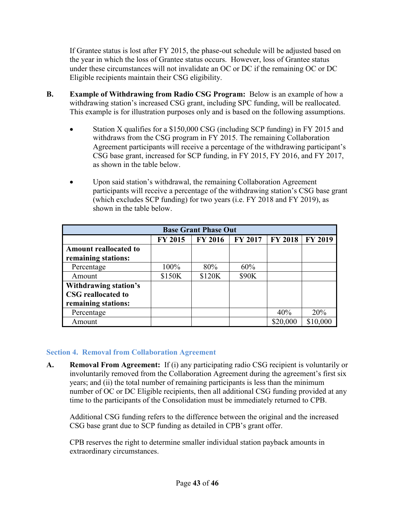If Grantee status is lost after FY 2015, the phase-out schedule will be adjusted based on the year in which the loss of Grantee status occurs. However, loss of Grantee status under these circumstances will not invalidate an OC or DC if the remaining OC or DC Eligible recipients maintain their CSG eligibility.

- **B. Example of Withdrawing from Radio CSG Program:** Below is an example of how a withdrawing station's increased CSG grant, including SPC funding, will be reallocated. This example is for illustration purposes only and is based on the following assumptions.
	- Station X qualifies for a \$150,000 CSG (including SCP funding) in FY 2015 and withdraws from the CSG program in FY 2015. The remaining Collaboration Agreement participants will receive a percentage of the withdrawing participant's CSG base grant, increased for SCP funding, in FY 2015, FY 2016, and FY 2017, as shown in the table below.
	- Upon said station's withdrawal, the remaining Collaboration Agreement participants will receive a percentage of the withdrawing station's CSG base grant (which excludes SCP funding) for two years (i.e. FY 2018 and FY 2019), as shown in the table below.

| <b>Base Grant Phase Out</b>                                                     |        |        |       |          |          |  |  |
|---------------------------------------------------------------------------------|--------|--------|-------|----------|----------|--|--|
| <b>FY 2018</b><br>FY 2016<br><b>FY 2017</b><br><b>FY 2019</b><br><b>FY 2015</b> |        |        |       |          |          |  |  |
| <b>Amount reallocated to</b><br>remaining stations:                             |        |        |       |          |          |  |  |
| Percentage                                                                      | 100%   | 80%    | 60%   |          |          |  |  |
| Amount                                                                          | \$150K | \$120K | \$90K |          |          |  |  |
| Withdrawing station's<br><b>CSG</b> reallocated to<br>remaining stations:       |        |        |       |          |          |  |  |
| Percentage                                                                      |        |        |       | 40%      | 20%      |  |  |
| Amount                                                                          |        |        |       | \$20,000 | \$10,000 |  |  |

#### <span id="page-42-0"></span>**Section 4. Removal from Collaboration Agreement**

**A. Removal From Agreement:** If (i) any participating radio CSG recipient is voluntarily or involuntarily removed from the Collaboration Agreement during the agreement's first six years; and (ii) the total number of remaining participants is less than the minimum number of OC or DC Eligible recipients, then all additional CSG funding provided at any time to the participants of the Consolidation must be immediately returned to CPB.

Additional CSG funding refers to the difference between the original and the increased CSG base grant due to SCP funding as detailed in CPB's grant offer.

CPB reserves the right to determine smaller individual station payback amounts in extraordinary circumstances.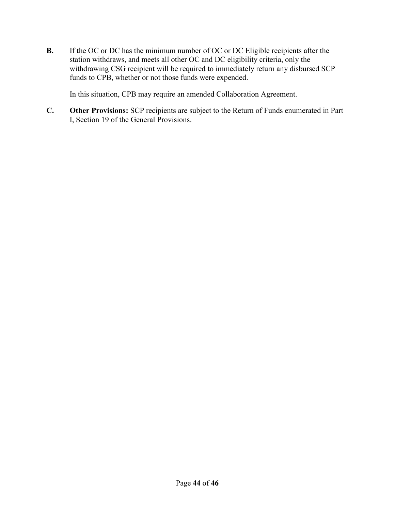**B.** If the OC or DC has the minimum number of OC or DC Eligible recipients after the station withdraws, and meets all other OC and DC eligibility criteria, only the withdrawing CSG recipient will be required to immediately return any disbursed SCP funds to CPB, whether or not those funds were expended.

In this situation, CPB may require an amended Collaboration Agreement.

**C. Other Provisions:** SCP recipients are subject to the Return of Funds enumerated in Part I, Section 19 of the General Provisions.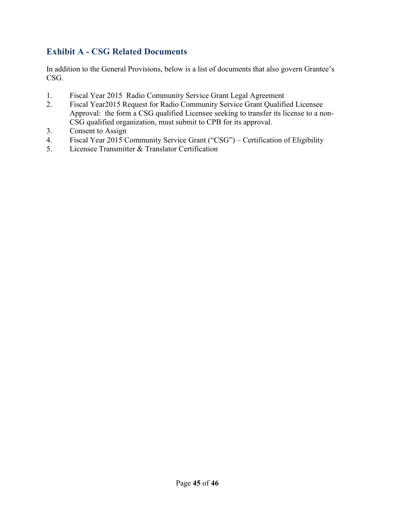## <span id="page-44-0"></span>**Exhibit A - CSG Related Documents**

In addition to the General Provisions, below is a list of documents that also govern Grantee's CSG.

- 1. Fiscal Year 2015 Radio Community Service Grant Legal Agreement
- 2. Fiscal Year2015 Request for Radio Community Service Grant Qualified Licensee Approval: the form a CSG qualified Licensee seeking to transfer its license to a non-CSG qualified organization, must submit to CPB for its approval.
- 3. Consent to Assign
- 4. Fiscal Year 2015 Community Service Grant ("CSG") Certification of Eligibility
- 5. Licensee Transmitter & Translator Certification